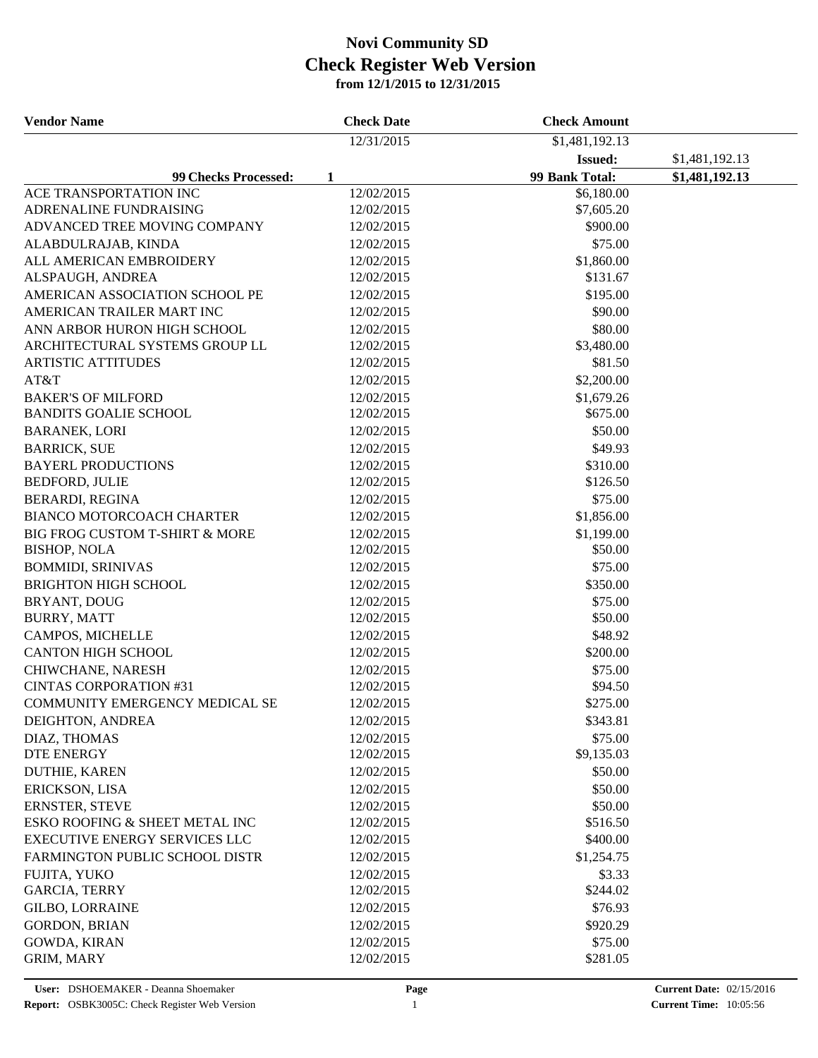| 12/31/2015<br>\$1,481,192.13<br>\$1,481,192.13<br><b>Issued:</b><br>99 Bank Total:<br>\$1,481,192.13<br><b>99 Checks Processed:</b><br>1<br>12/02/2015<br>ACE TRANSPORTATION INC<br>\$6,180.00<br>ADRENALINE FUNDRAISING<br>12/02/2015<br>\$7,605.20<br>ADVANCED TREE MOVING COMPANY<br>12/02/2015<br>\$900.00<br>\$75.00<br>ALABDULRAJAB, KINDA<br>12/02/2015<br>ALL AMERICAN EMBROIDERY<br>12/02/2015<br>\$1,860.00<br>\$131.67<br>ALSPAUGH, ANDREA<br>12/02/2015<br>\$195.00<br>AMERICAN ASSOCIATION SCHOOL PE<br>12/02/2015<br>AMERICAN TRAILER MART INC<br>\$90.00<br>12/02/2015<br>ANN ARBOR HURON HIGH SCHOOL<br>\$80.00<br>12/02/2015<br>ARCHITECTURAL SYSTEMS GROUP LL<br>12/02/2015<br>\$3,480.00<br><b>ARTISTIC ATTITUDES</b><br>12/02/2015<br>\$81.50<br>AT&T<br>\$2,200.00<br>12/02/2015<br><b>BAKER'S OF MILFORD</b><br>12/02/2015<br>\$1,679.26<br><b>BANDITS GOALIE SCHOOL</b><br>\$675.00<br>12/02/2015<br>\$50.00<br><b>BARANEK, LORI</b><br>12/02/2015<br>\$49.93<br><b>BARRICK, SUE</b><br>12/02/2015<br><b>BAYERL PRODUCTIONS</b><br>\$310.00<br>12/02/2015<br><b>BEDFORD, JULIE</b><br>12/02/2015<br>\$126.50<br>\$75.00<br><b>BERARDI, REGINA</b><br>12/02/2015<br>BIANCO MOTORCOACH CHARTER<br>\$1,856.00<br>12/02/2015<br>BIG FROG CUSTOM T-SHIRT & MORE<br>\$1,199.00<br>12/02/2015<br><b>BISHOP, NOLA</b><br>\$50.00<br>12/02/2015<br>\$75.00<br><b>BOMMIDI, SRINIVAS</b><br>12/02/2015<br><b>BRIGHTON HIGH SCHOOL</b><br>\$350.00<br>12/02/2015<br>BRYANT, DOUG<br>\$75.00<br>12/02/2015<br><b>BURRY, MATT</b><br>12/02/2015<br>\$50.00<br>CAMPOS, MICHELLE<br>12/02/2015<br>\$48.92<br><b>CANTON HIGH SCHOOL</b><br>\$200.00<br>12/02/2015<br>CHIWCHANE, NARESH<br>12/02/2015<br>\$75.00<br><b>CINTAS CORPORATION #31</b><br>12/02/2015<br>\$94.50<br>COMMUNITY EMERGENCY MEDICAL SE<br>\$275.00<br>12/02/2015<br>DEIGHTON, ANDREA<br>12/02/2015<br>\$343.81<br>DIAZ, THOMAS<br>\$75.00<br>12/02/2015<br><b>DTE ENERGY</b><br>12/02/2015<br>\$9,135.03<br>DUTHIE, KAREN<br>12/02/2015<br>\$50.00<br>\$50.00<br>ERICKSON, LISA<br>12/02/2015<br><b>ERNSTER, STEVE</b><br>\$50.00<br>12/02/2015<br>ESKO ROOFING & SHEET METAL INC<br>12/02/2015<br>\$516.50<br><b>EXECUTIVE ENERGY SERVICES LLC</b><br>12/02/2015<br>\$400.00<br>FARMINGTON PUBLIC SCHOOL DISTR<br>12/02/2015<br>\$1,254.75<br>12/02/2015 | <b>Vendor Name</b> | <b>Check Date</b> | <b>Check Amount</b> |  |
|--------------------------------------------------------------------------------------------------------------------------------------------------------------------------------------------------------------------------------------------------------------------------------------------------------------------------------------------------------------------------------------------------------------------------------------------------------------------------------------------------------------------------------------------------------------------------------------------------------------------------------------------------------------------------------------------------------------------------------------------------------------------------------------------------------------------------------------------------------------------------------------------------------------------------------------------------------------------------------------------------------------------------------------------------------------------------------------------------------------------------------------------------------------------------------------------------------------------------------------------------------------------------------------------------------------------------------------------------------------------------------------------------------------------------------------------------------------------------------------------------------------------------------------------------------------------------------------------------------------------------------------------------------------------------------------------------------------------------------------------------------------------------------------------------------------------------------------------------------------------------------------------------------------------------------------------------------------------------------------------------------------------------------------------------------------------------------------------------------------------------------------------------------------------------------------------------------------------------------------------------------------------------------------------------------------------------------------|--------------------|-------------------|---------------------|--|
|                                                                                                                                                                                                                                                                                                                                                                                                                                                                                                                                                                                                                                                                                                                                                                                                                                                                                                                                                                                                                                                                                                                                                                                                                                                                                                                                                                                                                                                                                                                                                                                                                                                                                                                                                                                                                                                                                                                                                                                                                                                                                                                                                                                                                                                                                                                                      |                    |                   |                     |  |
|                                                                                                                                                                                                                                                                                                                                                                                                                                                                                                                                                                                                                                                                                                                                                                                                                                                                                                                                                                                                                                                                                                                                                                                                                                                                                                                                                                                                                                                                                                                                                                                                                                                                                                                                                                                                                                                                                                                                                                                                                                                                                                                                                                                                                                                                                                                                      |                    |                   |                     |  |
|                                                                                                                                                                                                                                                                                                                                                                                                                                                                                                                                                                                                                                                                                                                                                                                                                                                                                                                                                                                                                                                                                                                                                                                                                                                                                                                                                                                                                                                                                                                                                                                                                                                                                                                                                                                                                                                                                                                                                                                                                                                                                                                                                                                                                                                                                                                                      |                    |                   |                     |  |
|                                                                                                                                                                                                                                                                                                                                                                                                                                                                                                                                                                                                                                                                                                                                                                                                                                                                                                                                                                                                                                                                                                                                                                                                                                                                                                                                                                                                                                                                                                                                                                                                                                                                                                                                                                                                                                                                                                                                                                                                                                                                                                                                                                                                                                                                                                                                      |                    |                   |                     |  |
|                                                                                                                                                                                                                                                                                                                                                                                                                                                                                                                                                                                                                                                                                                                                                                                                                                                                                                                                                                                                                                                                                                                                                                                                                                                                                                                                                                                                                                                                                                                                                                                                                                                                                                                                                                                                                                                                                                                                                                                                                                                                                                                                                                                                                                                                                                                                      |                    |                   |                     |  |
|                                                                                                                                                                                                                                                                                                                                                                                                                                                                                                                                                                                                                                                                                                                                                                                                                                                                                                                                                                                                                                                                                                                                                                                                                                                                                                                                                                                                                                                                                                                                                                                                                                                                                                                                                                                                                                                                                                                                                                                                                                                                                                                                                                                                                                                                                                                                      |                    |                   |                     |  |
|                                                                                                                                                                                                                                                                                                                                                                                                                                                                                                                                                                                                                                                                                                                                                                                                                                                                                                                                                                                                                                                                                                                                                                                                                                                                                                                                                                                                                                                                                                                                                                                                                                                                                                                                                                                                                                                                                                                                                                                                                                                                                                                                                                                                                                                                                                                                      |                    |                   |                     |  |
|                                                                                                                                                                                                                                                                                                                                                                                                                                                                                                                                                                                                                                                                                                                                                                                                                                                                                                                                                                                                                                                                                                                                                                                                                                                                                                                                                                                                                                                                                                                                                                                                                                                                                                                                                                                                                                                                                                                                                                                                                                                                                                                                                                                                                                                                                                                                      |                    |                   |                     |  |
|                                                                                                                                                                                                                                                                                                                                                                                                                                                                                                                                                                                                                                                                                                                                                                                                                                                                                                                                                                                                                                                                                                                                                                                                                                                                                                                                                                                                                                                                                                                                                                                                                                                                                                                                                                                                                                                                                                                                                                                                                                                                                                                                                                                                                                                                                                                                      |                    |                   |                     |  |
|                                                                                                                                                                                                                                                                                                                                                                                                                                                                                                                                                                                                                                                                                                                                                                                                                                                                                                                                                                                                                                                                                                                                                                                                                                                                                                                                                                                                                                                                                                                                                                                                                                                                                                                                                                                                                                                                                                                                                                                                                                                                                                                                                                                                                                                                                                                                      |                    |                   |                     |  |
|                                                                                                                                                                                                                                                                                                                                                                                                                                                                                                                                                                                                                                                                                                                                                                                                                                                                                                                                                                                                                                                                                                                                                                                                                                                                                                                                                                                                                                                                                                                                                                                                                                                                                                                                                                                                                                                                                                                                                                                                                                                                                                                                                                                                                                                                                                                                      |                    |                   |                     |  |
|                                                                                                                                                                                                                                                                                                                                                                                                                                                                                                                                                                                                                                                                                                                                                                                                                                                                                                                                                                                                                                                                                                                                                                                                                                                                                                                                                                                                                                                                                                                                                                                                                                                                                                                                                                                                                                                                                                                                                                                                                                                                                                                                                                                                                                                                                                                                      |                    |                   |                     |  |
|                                                                                                                                                                                                                                                                                                                                                                                                                                                                                                                                                                                                                                                                                                                                                                                                                                                                                                                                                                                                                                                                                                                                                                                                                                                                                                                                                                                                                                                                                                                                                                                                                                                                                                                                                                                                                                                                                                                                                                                                                                                                                                                                                                                                                                                                                                                                      |                    |                   |                     |  |
|                                                                                                                                                                                                                                                                                                                                                                                                                                                                                                                                                                                                                                                                                                                                                                                                                                                                                                                                                                                                                                                                                                                                                                                                                                                                                                                                                                                                                                                                                                                                                                                                                                                                                                                                                                                                                                                                                                                                                                                                                                                                                                                                                                                                                                                                                                                                      |                    |                   |                     |  |
|                                                                                                                                                                                                                                                                                                                                                                                                                                                                                                                                                                                                                                                                                                                                                                                                                                                                                                                                                                                                                                                                                                                                                                                                                                                                                                                                                                                                                                                                                                                                                                                                                                                                                                                                                                                                                                                                                                                                                                                                                                                                                                                                                                                                                                                                                                                                      |                    |                   |                     |  |
|                                                                                                                                                                                                                                                                                                                                                                                                                                                                                                                                                                                                                                                                                                                                                                                                                                                                                                                                                                                                                                                                                                                                                                                                                                                                                                                                                                                                                                                                                                                                                                                                                                                                                                                                                                                                                                                                                                                                                                                                                                                                                                                                                                                                                                                                                                                                      |                    |                   |                     |  |
|                                                                                                                                                                                                                                                                                                                                                                                                                                                                                                                                                                                                                                                                                                                                                                                                                                                                                                                                                                                                                                                                                                                                                                                                                                                                                                                                                                                                                                                                                                                                                                                                                                                                                                                                                                                                                                                                                                                                                                                                                                                                                                                                                                                                                                                                                                                                      |                    |                   |                     |  |
|                                                                                                                                                                                                                                                                                                                                                                                                                                                                                                                                                                                                                                                                                                                                                                                                                                                                                                                                                                                                                                                                                                                                                                                                                                                                                                                                                                                                                                                                                                                                                                                                                                                                                                                                                                                                                                                                                                                                                                                                                                                                                                                                                                                                                                                                                                                                      |                    |                   |                     |  |
|                                                                                                                                                                                                                                                                                                                                                                                                                                                                                                                                                                                                                                                                                                                                                                                                                                                                                                                                                                                                                                                                                                                                                                                                                                                                                                                                                                                                                                                                                                                                                                                                                                                                                                                                                                                                                                                                                                                                                                                                                                                                                                                                                                                                                                                                                                                                      |                    |                   |                     |  |
|                                                                                                                                                                                                                                                                                                                                                                                                                                                                                                                                                                                                                                                                                                                                                                                                                                                                                                                                                                                                                                                                                                                                                                                                                                                                                                                                                                                                                                                                                                                                                                                                                                                                                                                                                                                                                                                                                                                                                                                                                                                                                                                                                                                                                                                                                                                                      |                    |                   |                     |  |
|                                                                                                                                                                                                                                                                                                                                                                                                                                                                                                                                                                                                                                                                                                                                                                                                                                                                                                                                                                                                                                                                                                                                                                                                                                                                                                                                                                                                                                                                                                                                                                                                                                                                                                                                                                                                                                                                                                                                                                                                                                                                                                                                                                                                                                                                                                                                      |                    |                   |                     |  |
|                                                                                                                                                                                                                                                                                                                                                                                                                                                                                                                                                                                                                                                                                                                                                                                                                                                                                                                                                                                                                                                                                                                                                                                                                                                                                                                                                                                                                                                                                                                                                                                                                                                                                                                                                                                                                                                                                                                                                                                                                                                                                                                                                                                                                                                                                                                                      |                    |                   |                     |  |
|                                                                                                                                                                                                                                                                                                                                                                                                                                                                                                                                                                                                                                                                                                                                                                                                                                                                                                                                                                                                                                                                                                                                                                                                                                                                                                                                                                                                                                                                                                                                                                                                                                                                                                                                                                                                                                                                                                                                                                                                                                                                                                                                                                                                                                                                                                                                      |                    |                   |                     |  |
|                                                                                                                                                                                                                                                                                                                                                                                                                                                                                                                                                                                                                                                                                                                                                                                                                                                                                                                                                                                                                                                                                                                                                                                                                                                                                                                                                                                                                                                                                                                                                                                                                                                                                                                                                                                                                                                                                                                                                                                                                                                                                                                                                                                                                                                                                                                                      |                    |                   |                     |  |
|                                                                                                                                                                                                                                                                                                                                                                                                                                                                                                                                                                                                                                                                                                                                                                                                                                                                                                                                                                                                                                                                                                                                                                                                                                                                                                                                                                                                                                                                                                                                                                                                                                                                                                                                                                                                                                                                                                                                                                                                                                                                                                                                                                                                                                                                                                                                      |                    |                   |                     |  |
|                                                                                                                                                                                                                                                                                                                                                                                                                                                                                                                                                                                                                                                                                                                                                                                                                                                                                                                                                                                                                                                                                                                                                                                                                                                                                                                                                                                                                                                                                                                                                                                                                                                                                                                                                                                                                                                                                                                                                                                                                                                                                                                                                                                                                                                                                                                                      |                    |                   |                     |  |
|                                                                                                                                                                                                                                                                                                                                                                                                                                                                                                                                                                                                                                                                                                                                                                                                                                                                                                                                                                                                                                                                                                                                                                                                                                                                                                                                                                                                                                                                                                                                                                                                                                                                                                                                                                                                                                                                                                                                                                                                                                                                                                                                                                                                                                                                                                                                      |                    |                   |                     |  |
|                                                                                                                                                                                                                                                                                                                                                                                                                                                                                                                                                                                                                                                                                                                                                                                                                                                                                                                                                                                                                                                                                                                                                                                                                                                                                                                                                                                                                                                                                                                                                                                                                                                                                                                                                                                                                                                                                                                                                                                                                                                                                                                                                                                                                                                                                                                                      |                    |                   |                     |  |
|                                                                                                                                                                                                                                                                                                                                                                                                                                                                                                                                                                                                                                                                                                                                                                                                                                                                                                                                                                                                                                                                                                                                                                                                                                                                                                                                                                                                                                                                                                                                                                                                                                                                                                                                                                                                                                                                                                                                                                                                                                                                                                                                                                                                                                                                                                                                      |                    |                   |                     |  |
|                                                                                                                                                                                                                                                                                                                                                                                                                                                                                                                                                                                                                                                                                                                                                                                                                                                                                                                                                                                                                                                                                                                                                                                                                                                                                                                                                                                                                                                                                                                                                                                                                                                                                                                                                                                                                                                                                                                                                                                                                                                                                                                                                                                                                                                                                                                                      |                    |                   |                     |  |
|                                                                                                                                                                                                                                                                                                                                                                                                                                                                                                                                                                                                                                                                                                                                                                                                                                                                                                                                                                                                                                                                                                                                                                                                                                                                                                                                                                                                                                                                                                                                                                                                                                                                                                                                                                                                                                                                                                                                                                                                                                                                                                                                                                                                                                                                                                                                      |                    |                   |                     |  |
|                                                                                                                                                                                                                                                                                                                                                                                                                                                                                                                                                                                                                                                                                                                                                                                                                                                                                                                                                                                                                                                                                                                                                                                                                                                                                                                                                                                                                                                                                                                                                                                                                                                                                                                                                                                                                                                                                                                                                                                                                                                                                                                                                                                                                                                                                                                                      |                    |                   |                     |  |
|                                                                                                                                                                                                                                                                                                                                                                                                                                                                                                                                                                                                                                                                                                                                                                                                                                                                                                                                                                                                                                                                                                                                                                                                                                                                                                                                                                                                                                                                                                                                                                                                                                                                                                                                                                                                                                                                                                                                                                                                                                                                                                                                                                                                                                                                                                                                      |                    |                   |                     |  |
|                                                                                                                                                                                                                                                                                                                                                                                                                                                                                                                                                                                                                                                                                                                                                                                                                                                                                                                                                                                                                                                                                                                                                                                                                                                                                                                                                                                                                                                                                                                                                                                                                                                                                                                                                                                                                                                                                                                                                                                                                                                                                                                                                                                                                                                                                                                                      |                    |                   |                     |  |
|                                                                                                                                                                                                                                                                                                                                                                                                                                                                                                                                                                                                                                                                                                                                                                                                                                                                                                                                                                                                                                                                                                                                                                                                                                                                                                                                                                                                                                                                                                                                                                                                                                                                                                                                                                                                                                                                                                                                                                                                                                                                                                                                                                                                                                                                                                                                      |                    |                   |                     |  |
|                                                                                                                                                                                                                                                                                                                                                                                                                                                                                                                                                                                                                                                                                                                                                                                                                                                                                                                                                                                                                                                                                                                                                                                                                                                                                                                                                                                                                                                                                                                                                                                                                                                                                                                                                                                                                                                                                                                                                                                                                                                                                                                                                                                                                                                                                                                                      |                    |                   |                     |  |
|                                                                                                                                                                                                                                                                                                                                                                                                                                                                                                                                                                                                                                                                                                                                                                                                                                                                                                                                                                                                                                                                                                                                                                                                                                                                                                                                                                                                                                                                                                                                                                                                                                                                                                                                                                                                                                                                                                                                                                                                                                                                                                                                                                                                                                                                                                                                      |                    |                   |                     |  |
|                                                                                                                                                                                                                                                                                                                                                                                                                                                                                                                                                                                                                                                                                                                                                                                                                                                                                                                                                                                                                                                                                                                                                                                                                                                                                                                                                                                                                                                                                                                                                                                                                                                                                                                                                                                                                                                                                                                                                                                                                                                                                                                                                                                                                                                                                                                                      |                    |                   |                     |  |
|                                                                                                                                                                                                                                                                                                                                                                                                                                                                                                                                                                                                                                                                                                                                                                                                                                                                                                                                                                                                                                                                                                                                                                                                                                                                                                                                                                                                                                                                                                                                                                                                                                                                                                                                                                                                                                                                                                                                                                                                                                                                                                                                                                                                                                                                                                                                      |                    |                   |                     |  |
|                                                                                                                                                                                                                                                                                                                                                                                                                                                                                                                                                                                                                                                                                                                                                                                                                                                                                                                                                                                                                                                                                                                                                                                                                                                                                                                                                                                                                                                                                                                                                                                                                                                                                                                                                                                                                                                                                                                                                                                                                                                                                                                                                                                                                                                                                                                                      |                    |                   |                     |  |
|                                                                                                                                                                                                                                                                                                                                                                                                                                                                                                                                                                                                                                                                                                                                                                                                                                                                                                                                                                                                                                                                                                                                                                                                                                                                                                                                                                                                                                                                                                                                                                                                                                                                                                                                                                                                                                                                                                                                                                                                                                                                                                                                                                                                                                                                                                                                      |                    |                   |                     |  |
|                                                                                                                                                                                                                                                                                                                                                                                                                                                                                                                                                                                                                                                                                                                                                                                                                                                                                                                                                                                                                                                                                                                                                                                                                                                                                                                                                                                                                                                                                                                                                                                                                                                                                                                                                                                                                                                                                                                                                                                                                                                                                                                                                                                                                                                                                                                                      |                    |                   |                     |  |
|                                                                                                                                                                                                                                                                                                                                                                                                                                                                                                                                                                                                                                                                                                                                                                                                                                                                                                                                                                                                                                                                                                                                                                                                                                                                                                                                                                                                                                                                                                                                                                                                                                                                                                                                                                                                                                                                                                                                                                                                                                                                                                                                                                                                                                                                                                                                      |                    |                   |                     |  |
|                                                                                                                                                                                                                                                                                                                                                                                                                                                                                                                                                                                                                                                                                                                                                                                                                                                                                                                                                                                                                                                                                                                                                                                                                                                                                                                                                                                                                                                                                                                                                                                                                                                                                                                                                                                                                                                                                                                                                                                                                                                                                                                                                                                                                                                                                                                                      | FUJITA, YUKO       |                   | \$3.33              |  |
| <b>GARCIA, TERRY</b><br>\$244.02<br>12/02/2015                                                                                                                                                                                                                                                                                                                                                                                                                                                                                                                                                                                                                                                                                                                                                                                                                                                                                                                                                                                                                                                                                                                                                                                                                                                                                                                                                                                                                                                                                                                                                                                                                                                                                                                                                                                                                                                                                                                                                                                                                                                                                                                                                                                                                                                                                       |                    |                   |                     |  |
| <b>GILBO, LORRAINE</b><br>12/02/2015<br>\$76.93                                                                                                                                                                                                                                                                                                                                                                                                                                                                                                                                                                                                                                                                                                                                                                                                                                                                                                                                                                                                                                                                                                                                                                                                                                                                                                                                                                                                                                                                                                                                                                                                                                                                                                                                                                                                                                                                                                                                                                                                                                                                                                                                                                                                                                                                                      |                    |                   |                     |  |
| <b>GORDON, BRIAN</b><br>12/02/2015<br>\$920.29                                                                                                                                                                                                                                                                                                                                                                                                                                                                                                                                                                                                                                                                                                                                                                                                                                                                                                                                                                                                                                                                                                                                                                                                                                                                                                                                                                                                                                                                                                                                                                                                                                                                                                                                                                                                                                                                                                                                                                                                                                                                                                                                                                                                                                                                                       |                    |                   |                     |  |
| <b>GOWDA, KIRAN</b><br>\$75.00<br>12/02/2015                                                                                                                                                                                                                                                                                                                                                                                                                                                                                                                                                                                                                                                                                                                                                                                                                                                                                                                                                                                                                                                                                                                                                                                                                                                                                                                                                                                                                                                                                                                                                                                                                                                                                                                                                                                                                                                                                                                                                                                                                                                                                                                                                                                                                                                                                         |                    |                   |                     |  |
| GRIM, MARY<br>\$281.05<br>12/02/2015                                                                                                                                                                                                                                                                                                                                                                                                                                                                                                                                                                                                                                                                                                                                                                                                                                                                                                                                                                                                                                                                                                                                                                                                                                                                                                                                                                                                                                                                                                                                                                                                                                                                                                                                                                                                                                                                                                                                                                                                                                                                                                                                                                                                                                                                                                 |                    |                   |                     |  |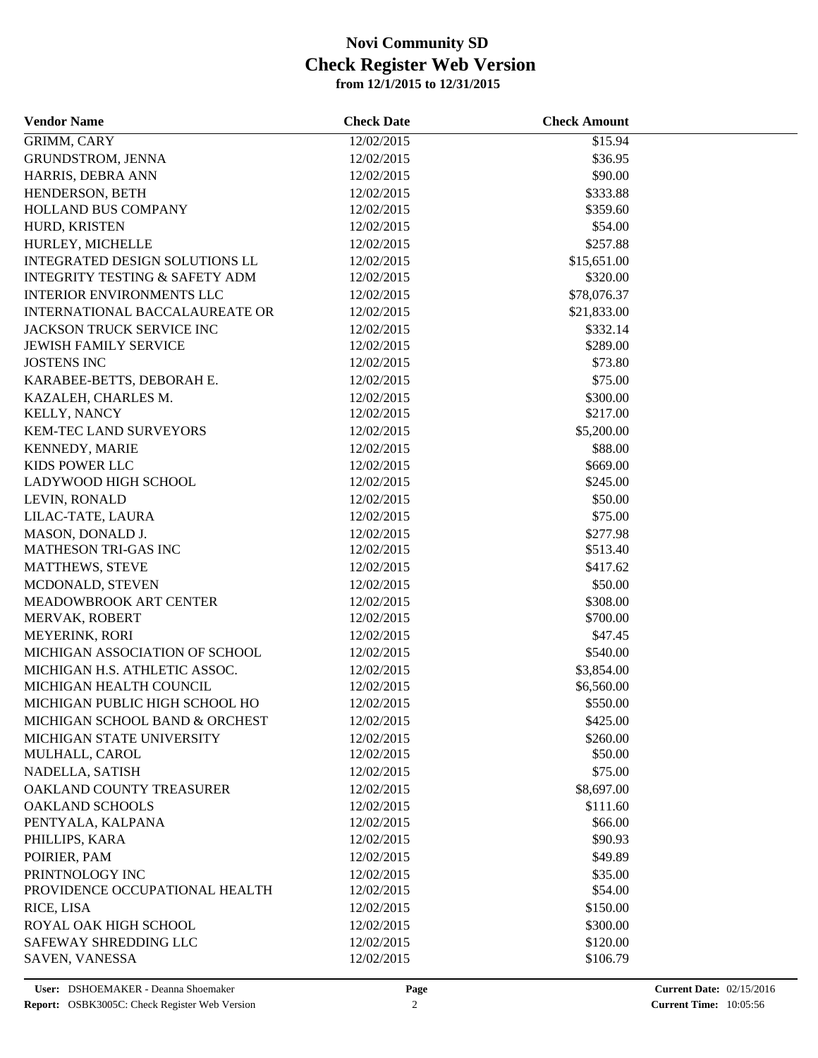| <b>Vendor Name</b>                        | <b>Check Date</b> | <b>Check Amount</b> |  |
|-------------------------------------------|-------------------|---------------------|--|
| GRIMM, CARY                               | 12/02/2015        | \$15.94             |  |
| GRUNDSTROM, JENNA                         | 12/02/2015        | \$36.95             |  |
| HARRIS, DEBRA ANN                         | 12/02/2015        | \$90.00             |  |
| HENDERSON, BETH                           | 12/02/2015        | \$333.88            |  |
| HOLLAND BUS COMPANY                       | 12/02/2015        | \$359.60            |  |
| HURD, KRISTEN                             | 12/02/2015        | \$54.00             |  |
| HURLEY, MICHELLE                          | 12/02/2015        | \$257.88            |  |
| INTEGRATED DESIGN SOLUTIONS LL            | 12/02/2015        | \$15,651.00         |  |
| <b>INTEGRITY TESTING &amp; SAFETY ADM</b> | 12/02/2015        | \$320.00            |  |
| <b>INTERIOR ENVIRONMENTS LLC</b>          | 12/02/2015        | \$78,076.37         |  |
| INTERNATIONAL BACCALAUREATE OR            | 12/02/2015        | \$21,833.00         |  |
| JACKSON TRUCK SERVICE INC                 | 12/02/2015        | \$332.14            |  |
| <b>JEWISH FAMILY SERVICE</b>              | 12/02/2015        | \$289.00            |  |
| <b>JOSTENS INC</b>                        | 12/02/2015        | \$73.80             |  |
| KARABEE-BETTS, DEBORAH E.                 | 12/02/2015        | \$75.00             |  |
| KAZALEH, CHARLES M.                       | 12/02/2015        | \$300.00            |  |
| KELLY, NANCY                              | 12/02/2015        | \$217.00            |  |
| <b>KEM-TEC LAND SURVEYORS</b>             | 12/02/2015        | \$5,200.00          |  |
| <b>KENNEDY, MARIE</b>                     | 12/02/2015        | \$88.00             |  |
| <b>KIDS POWER LLC</b>                     | 12/02/2015        | \$669.00            |  |
| LADYWOOD HIGH SCHOOL                      | 12/02/2015        | \$245.00            |  |
| LEVIN, RONALD                             | 12/02/2015        | \$50.00             |  |
| LILAC-TATE, LAURA                         | 12/02/2015        | \$75.00             |  |
| MASON, DONALD J.                          | 12/02/2015        | \$277.98            |  |
| <b>MATHESON TRI-GAS INC</b>               | 12/02/2015        | \$513.40            |  |
| <b>MATTHEWS, STEVE</b>                    | 12/02/2015        | \$417.62            |  |
| MCDONALD, STEVEN                          | 12/02/2015        | \$50.00             |  |
| MEADOWBROOK ART CENTER                    | 12/02/2015        | \$308.00            |  |
| MERVAK, ROBERT                            | 12/02/2015        | \$700.00            |  |
| MEYERINK, RORI                            | 12/02/2015        | \$47.45             |  |
| MICHIGAN ASSOCIATION OF SCHOOL            | 12/02/2015        | \$540.00            |  |
| MICHIGAN H.S. ATHLETIC ASSOC.             | 12/02/2015        | \$3,854.00          |  |
| MICHIGAN HEALTH COUNCIL                   | 12/02/2015        | \$6,560.00          |  |
| MICHIGAN PUBLIC HIGH SCHOOL HO            | 12/02/2015        | \$550.00            |  |
| MICHIGAN SCHOOL BAND & ORCHEST            | 12/02/2015        | \$425.00            |  |
| MICHIGAN STATE UNIVERSITY                 | 12/02/2015        | \$260.00            |  |
| MULHALL, CAROL                            | 12/02/2015        | \$50.00             |  |
| NADELLA, SATISH                           | 12/02/2015        | \$75.00             |  |
| OAKLAND COUNTY TREASURER                  | 12/02/2015        | \$8,697.00          |  |
| <b>OAKLAND SCHOOLS</b>                    | 12/02/2015        | \$111.60            |  |
| PENTYALA, KALPANA                         | 12/02/2015        | \$66.00             |  |
| PHILLIPS, KARA                            | 12/02/2015        | \$90.93             |  |
| POIRIER, PAM                              | 12/02/2015        | \$49.89             |  |
| PRINTNOLOGY INC                           | 12/02/2015        | \$35.00             |  |
| PROVIDENCE OCCUPATIONAL HEALTH            | 12/02/2015        | \$54.00             |  |
| RICE, LISA                                | 12/02/2015        | \$150.00            |  |
| ROYAL OAK HIGH SCHOOL                     | 12/02/2015        | \$300.00            |  |
| SAFEWAY SHREDDING LLC                     | 12/02/2015        | \$120.00            |  |
| SAVEN, VANESSA                            | 12/02/2015        | \$106.79            |  |
|                                           |                   |                     |  |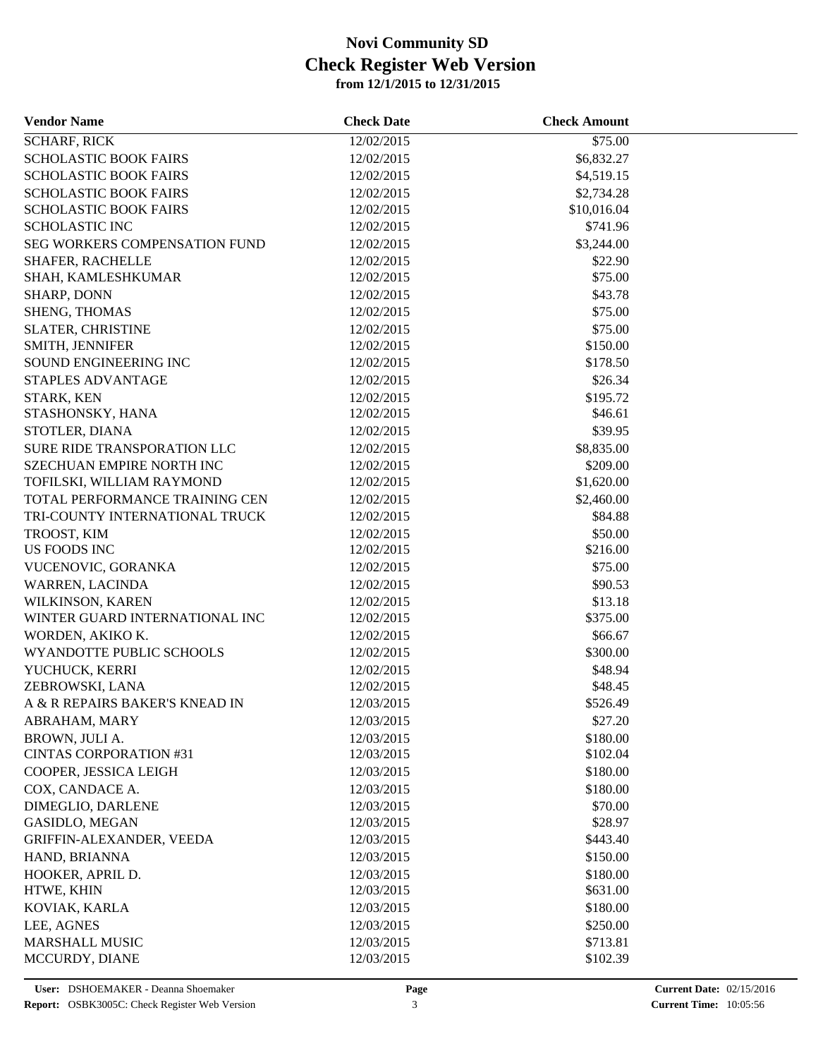| <b>Vendor Name</b>               | <b>Check Date</b> | <b>Check Amount</b> |  |
|----------------------------------|-------------------|---------------------|--|
| <b>SCHARF, RICK</b>              | 12/02/2015        | \$75.00             |  |
| <b>SCHOLASTIC BOOK FAIRS</b>     | 12/02/2015        | \$6,832.27          |  |
| <b>SCHOLASTIC BOOK FAIRS</b>     | 12/02/2015        | \$4,519.15          |  |
| <b>SCHOLASTIC BOOK FAIRS</b>     | 12/02/2015        | \$2,734.28          |  |
| <b>SCHOLASTIC BOOK FAIRS</b>     | 12/02/2015        | \$10,016.04         |  |
| <b>SCHOLASTIC INC</b>            | 12/02/2015        | \$741.96            |  |
| SEG WORKERS COMPENSATION FUND    | 12/02/2015        | \$3,244.00          |  |
| SHAFER, RACHELLE                 | 12/02/2015        | \$22.90             |  |
| SHAH, KAMLESHKUMAR               | 12/02/2015        | \$75.00             |  |
| <b>SHARP, DONN</b>               | 12/02/2015        | \$43.78             |  |
| SHENG, THOMAS                    | 12/02/2015        | \$75.00             |  |
| SLATER, CHRISTINE                | 12/02/2015        | \$75.00             |  |
| SMITH, JENNIFER                  | 12/02/2015        | \$150.00            |  |
| SOUND ENGINEERING INC            | 12/02/2015        | \$178.50            |  |
| STAPLES ADVANTAGE                | 12/02/2015        | \$26.34             |  |
| STARK, KEN                       | 12/02/2015        | \$195.72            |  |
| STASHONSKY, HANA                 | 12/02/2015        | \$46.61             |  |
| STOTLER, DIANA                   | 12/02/2015        | \$39.95             |  |
| SURE RIDE TRANSPORATION LLC      | 12/02/2015        | \$8,835.00          |  |
| <b>SZECHUAN EMPIRE NORTH INC</b> | 12/02/2015        | \$209.00            |  |
| TOFILSKI, WILLIAM RAYMOND        | 12/02/2015        | \$1,620.00          |  |
| TOTAL PERFORMANCE TRAINING CEN   | 12/02/2015        | \$2,460.00          |  |
| TRI-COUNTY INTERNATIONAL TRUCK   | 12/02/2015        | \$84.88             |  |
| TROOST, KIM                      | 12/02/2015        | \$50.00             |  |
| US FOODS INC                     | 12/02/2015        | \$216.00            |  |
| VUCENOVIC, GORANKA               | 12/02/2015        | \$75.00             |  |
| <b>WARREN, LACINDA</b>           | 12/02/2015        | \$90.53             |  |
| WILKINSON, KAREN                 | 12/02/2015        | \$13.18             |  |
| WINTER GUARD INTERNATIONAL INC   | 12/02/2015        | \$375.00            |  |
| WORDEN, AKIKO K.                 | 12/02/2015        | \$66.67             |  |
| WYANDOTTE PUBLIC SCHOOLS         | 12/02/2015        | \$300.00            |  |
| YUCHUCK, KERRI                   | 12/02/2015        | \$48.94             |  |
| ZEBROWSKI, LANA                  | 12/02/2015        | \$48.45             |  |
| A & R REPAIRS BAKER'S KNEAD IN   | 12/03/2015        | \$526.49            |  |
| ABRAHAM, MARY                    | 12/03/2015        | \$27.20             |  |
| BROWN, JULI A.                   | 12/03/2015        | \$180.00            |  |
| <b>CINTAS CORPORATION #31</b>    | 12/03/2015        | \$102.04            |  |
| COOPER, JESSICA LEIGH            | 12/03/2015        | \$180.00            |  |
|                                  |                   |                     |  |
| COX, CANDACE A.                  | 12/03/2015        | \$180.00            |  |
| DIMEGLIO, DARLENE                | 12/03/2015        | \$70.00             |  |
| <b>GASIDLO, MEGAN</b>            | 12/03/2015        | \$28.97             |  |
| GRIFFIN-ALEXANDER, VEEDA         | 12/03/2015        | \$443.40            |  |
| HAND, BRIANNA                    | 12/03/2015        | \$150.00            |  |
| HOOKER, APRIL D.                 | 12/03/2015        | \$180.00            |  |
| HTWE, KHIN                       | 12/03/2015        | \$631.00            |  |
| KOVIAK, KARLA                    | 12/03/2015        | \$180.00            |  |
| LEE, AGNES                       | 12/03/2015        | \$250.00            |  |
| <b>MARSHALL MUSIC</b>            | 12/03/2015        | \$713.81            |  |
| MCCURDY, DIANE                   | 12/03/2015        | \$102.39            |  |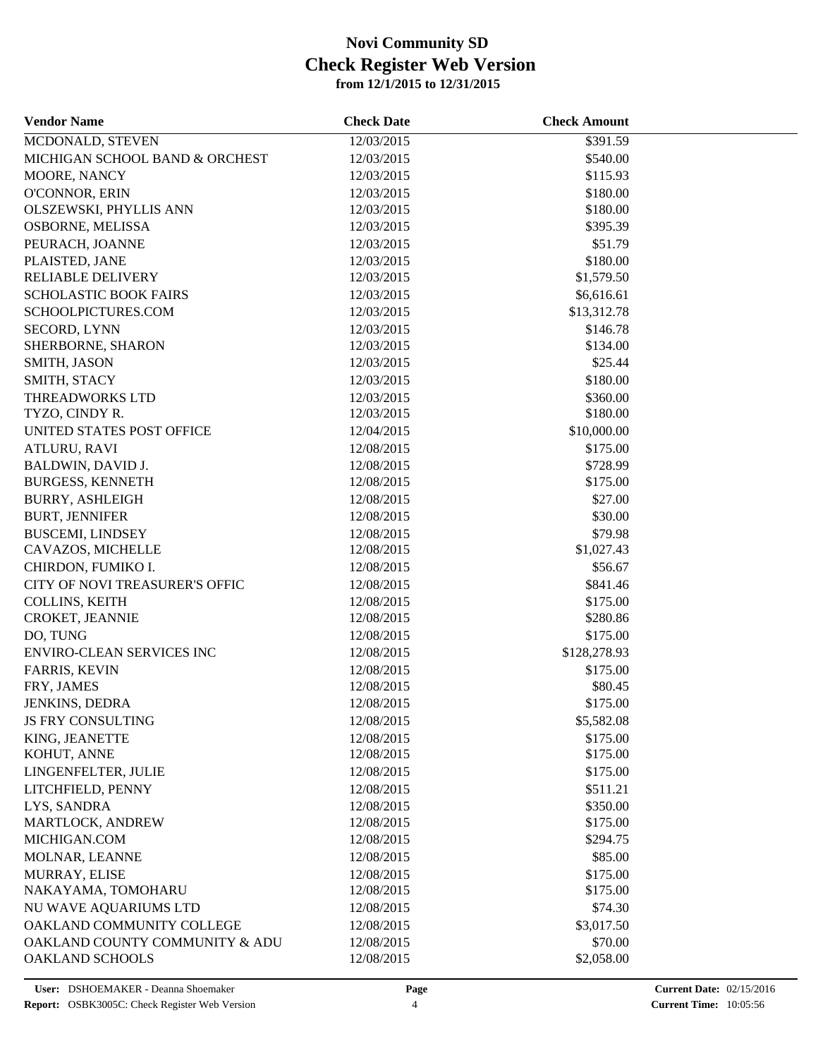| 12/03/2015<br>\$391.59<br>MCDONALD, STEVEN<br>MICHIGAN SCHOOL BAND & ORCHEST<br>12/03/2015<br>\$540.00<br>MOORE, NANCY<br>12/03/2015<br>\$115.93<br>O'CONNOR, ERIN<br>12/03/2015<br>\$180.00<br>\$180.00<br>OLSZEWSKI, PHYLLIS ANN<br>12/03/2015<br>OSBORNE, MELISSA<br>12/03/2015<br>\$395.39<br>\$51.79<br>PEURACH, JOANNE<br>12/03/2015<br>12/03/2015<br>\$180.00<br>PLAISTED, JANE<br><b>RELIABLE DELIVERY</b><br>12/03/2015<br>\$1,579.50<br><b>SCHOLASTIC BOOK FAIRS</b><br>12/03/2015<br>\$6,616.61<br>SCHOOLPICTURES.COM<br>12/03/2015<br>\$13,312.78<br><b>SECORD, LYNN</b><br>12/03/2015<br>\$146.78<br>SHERBORNE, SHARON<br>12/03/2015<br>\$134.00<br>\$25.44<br>SMITH, JASON<br>12/03/2015<br>\$180.00<br>SMITH, STACY<br>12/03/2015<br>THREADWORKS LTD<br>12/03/2015<br>\$360.00<br>\$180.00<br>TYZO, CINDY R.<br>12/03/2015<br>UNITED STATES POST OFFICE<br>\$10,000.00<br>12/04/2015<br><b>ATLURU, RAVI</b><br>12/08/2015<br>\$175.00<br>12/08/2015<br>\$728.99<br><b>BALDWIN, DAVID J.</b><br>\$175.00<br><b>BURGESS, KENNETH</b><br>12/08/2015<br>\$27.00<br><b>BURRY, ASHLEIGH</b><br>12/08/2015<br>\$30.00<br><b>BURT, JENNIFER</b><br>12/08/2015<br>\$79.98<br><b>BUSCEMI, LINDSEY</b><br>12/08/2015<br>12/08/2015<br>\$1,027.43<br>CAVAZOS, MICHELLE<br>CHIRDON, FUMIKO I.<br>12/08/2015<br>\$56.67<br>CITY OF NOVI TREASURER'S OFFIC<br>12/08/2015<br>\$841.46<br>COLLINS, KEITH<br>\$175.00<br>12/08/2015<br>CROKET, JEANNIE<br>12/08/2015<br>\$280.86<br>\$175.00<br>DO, TUNG<br>12/08/2015<br>\$128,278.93<br><b>ENVIRO-CLEAN SERVICES INC</b><br>12/08/2015<br>\$175.00<br><b>FARRIS, KEVIN</b><br>12/08/2015<br>FRY, JAMES<br>12/08/2015<br>\$80.45<br>\$175.00<br><b>JENKINS, DEDRA</b><br>12/08/2015<br><b>JS FRY CONSULTING</b><br>12/08/2015<br>\$5,582.08<br>\$175.00<br>KING, JEANETTE<br>12/08/2015<br>\$175.00<br>KOHUT, ANNE<br>12/08/2015<br>LINGENFELTER, JULIE<br>12/08/2015<br>\$175.00<br>LITCHFIELD, PENNY<br>12/08/2015<br>\$511.21<br>LYS, SANDRA<br>12/08/2015<br>\$350.00<br>MARTLOCK, ANDREW<br>12/08/2015<br>\$175.00<br>MICHIGAN.COM<br>12/08/2015<br>\$294.75<br>\$85.00<br>MOLNAR, LEANNE<br>12/08/2015<br>\$175.00<br>MURRAY, ELISE<br>12/08/2015<br>\$175.00<br>NAKAYAMA, TOMOHARU<br>12/08/2015<br>NU WAVE AQUARIUMS LTD<br>12/08/2015<br>\$74.30<br>OAKLAND COMMUNITY COLLEGE<br>\$3,017.50<br>12/08/2015<br>OAKLAND COUNTY COMMUNITY & ADU<br>\$70.00<br>12/08/2015 | <b>Vendor Name</b> | <b>Check Date</b> | <b>Check Amount</b> |  |
|-----------------------------------------------------------------------------------------------------------------------------------------------------------------------------------------------------------------------------------------------------------------------------------------------------------------------------------------------------------------------------------------------------------------------------------------------------------------------------------------------------------------------------------------------------------------------------------------------------------------------------------------------------------------------------------------------------------------------------------------------------------------------------------------------------------------------------------------------------------------------------------------------------------------------------------------------------------------------------------------------------------------------------------------------------------------------------------------------------------------------------------------------------------------------------------------------------------------------------------------------------------------------------------------------------------------------------------------------------------------------------------------------------------------------------------------------------------------------------------------------------------------------------------------------------------------------------------------------------------------------------------------------------------------------------------------------------------------------------------------------------------------------------------------------------------------------------------------------------------------------------------------------------------------------------------------------------------------------------------------------------------------------------------------------------------------------------------------------------------------------------------------------------------------------------------------------------------------------------------------------------------------------------------------------------------------------------------------------------------------------------------------------------------------------------|--------------------|-------------------|---------------------|--|
|                                                                                                                                                                                                                                                                                                                                                                                                                                                                                                                                                                                                                                                                                                                                                                                                                                                                                                                                                                                                                                                                                                                                                                                                                                                                                                                                                                                                                                                                                                                                                                                                                                                                                                                                                                                                                                                                                                                                                                                                                                                                                                                                                                                                                                                                                                                                                                                                                             |                    |                   |                     |  |
|                                                                                                                                                                                                                                                                                                                                                                                                                                                                                                                                                                                                                                                                                                                                                                                                                                                                                                                                                                                                                                                                                                                                                                                                                                                                                                                                                                                                                                                                                                                                                                                                                                                                                                                                                                                                                                                                                                                                                                                                                                                                                                                                                                                                                                                                                                                                                                                                                             |                    |                   |                     |  |
|                                                                                                                                                                                                                                                                                                                                                                                                                                                                                                                                                                                                                                                                                                                                                                                                                                                                                                                                                                                                                                                                                                                                                                                                                                                                                                                                                                                                                                                                                                                                                                                                                                                                                                                                                                                                                                                                                                                                                                                                                                                                                                                                                                                                                                                                                                                                                                                                                             |                    |                   |                     |  |
|                                                                                                                                                                                                                                                                                                                                                                                                                                                                                                                                                                                                                                                                                                                                                                                                                                                                                                                                                                                                                                                                                                                                                                                                                                                                                                                                                                                                                                                                                                                                                                                                                                                                                                                                                                                                                                                                                                                                                                                                                                                                                                                                                                                                                                                                                                                                                                                                                             |                    |                   |                     |  |
|                                                                                                                                                                                                                                                                                                                                                                                                                                                                                                                                                                                                                                                                                                                                                                                                                                                                                                                                                                                                                                                                                                                                                                                                                                                                                                                                                                                                                                                                                                                                                                                                                                                                                                                                                                                                                                                                                                                                                                                                                                                                                                                                                                                                                                                                                                                                                                                                                             |                    |                   |                     |  |
|                                                                                                                                                                                                                                                                                                                                                                                                                                                                                                                                                                                                                                                                                                                                                                                                                                                                                                                                                                                                                                                                                                                                                                                                                                                                                                                                                                                                                                                                                                                                                                                                                                                                                                                                                                                                                                                                                                                                                                                                                                                                                                                                                                                                                                                                                                                                                                                                                             |                    |                   |                     |  |
|                                                                                                                                                                                                                                                                                                                                                                                                                                                                                                                                                                                                                                                                                                                                                                                                                                                                                                                                                                                                                                                                                                                                                                                                                                                                                                                                                                                                                                                                                                                                                                                                                                                                                                                                                                                                                                                                                                                                                                                                                                                                                                                                                                                                                                                                                                                                                                                                                             |                    |                   |                     |  |
|                                                                                                                                                                                                                                                                                                                                                                                                                                                                                                                                                                                                                                                                                                                                                                                                                                                                                                                                                                                                                                                                                                                                                                                                                                                                                                                                                                                                                                                                                                                                                                                                                                                                                                                                                                                                                                                                                                                                                                                                                                                                                                                                                                                                                                                                                                                                                                                                                             |                    |                   |                     |  |
|                                                                                                                                                                                                                                                                                                                                                                                                                                                                                                                                                                                                                                                                                                                                                                                                                                                                                                                                                                                                                                                                                                                                                                                                                                                                                                                                                                                                                                                                                                                                                                                                                                                                                                                                                                                                                                                                                                                                                                                                                                                                                                                                                                                                                                                                                                                                                                                                                             |                    |                   |                     |  |
|                                                                                                                                                                                                                                                                                                                                                                                                                                                                                                                                                                                                                                                                                                                                                                                                                                                                                                                                                                                                                                                                                                                                                                                                                                                                                                                                                                                                                                                                                                                                                                                                                                                                                                                                                                                                                                                                                                                                                                                                                                                                                                                                                                                                                                                                                                                                                                                                                             |                    |                   |                     |  |
|                                                                                                                                                                                                                                                                                                                                                                                                                                                                                                                                                                                                                                                                                                                                                                                                                                                                                                                                                                                                                                                                                                                                                                                                                                                                                                                                                                                                                                                                                                                                                                                                                                                                                                                                                                                                                                                                                                                                                                                                                                                                                                                                                                                                                                                                                                                                                                                                                             |                    |                   |                     |  |
|                                                                                                                                                                                                                                                                                                                                                                                                                                                                                                                                                                                                                                                                                                                                                                                                                                                                                                                                                                                                                                                                                                                                                                                                                                                                                                                                                                                                                                                                                                                                                                                                                                                                                                                                                                                                                                                                                                                                                                                                                                                                                                                                                                                                                                                                                                                                                                                                                             |                    |                   |                     |  |
|                                                                                                                                                                                                                                                                                                                                                                                                                                                                                                                                                                                                                                                                                                                                                                                                                                                                                                                                                                                                                                                                                                                                                                                                                                                                                                                                                                                                                                                                                                                                                                                                                                                                                                                                                                                                                                                                                                                                                                                                                                                                                                                                                                                                                                                                                                                                                                                                                             |                    |                   |                     |  |
|                                                                                                                                                                                                                                                                                                                                                                                                                                                                                                                                                                                                                                                                                                                                                                                                                                                                                                                                                                                                                                                                                                                                                                                                                                                                                                                                                                                                                                                                                                                                                                                                                                                                                                                                                                                                                                                                                                                                                                                                                                                                                                                                                                                                                                                                                                                                                                                                                             |                    |                   |                     |  |
|                                                                                                                                                                                                                                                                                                                                                                                                                                                                                                                                                                                                                                                                                                                                                                                                                                                                                                                                                                                                                                                                                                                                                                                                                                                                                                                                                                                                                                                                                                                                                                                                                                                                                                                                                                                                                                                                                                                                                                                                                                                                                                                                                                                                                                                                                                                                                                                                                             |                    |                   |                     |  |
|                                                                                                                                                                                                                                                                                                                                                                                                                                                                                                                                                                                                                                                                                                                                                                                                                                                                                                                                                                                                                                                                                                                                                                                                                                                                                                                                                                                                                                                                                                                                                                                                                                                                                                                                                                                                                                                                                                                                                                                                                                                                                                                                                                                                                                                                                                                                                                                                                             |                    |                   |                     |  |
|                                                                                                                                                                                                                                                                                                                                                                                                                                                                                                                                                                                                                                                                                                                                                                                                                                                                                                                                                                                                                                                                                                                                                                                                                                                                                                                                                                                                                                                                                                                                                                                                                                                                                                                                                                                                                                                                                                                                                                                                                                                                                                                                                                                                                                                                                                                                                                                                                             |                    |                   |                     |  |
|                                                                                                                                                                                                                                                                                                                                                                                                                                                                                                                                                                                                                                                                                                                                                                                                                                                                                                                                                                                                                                                                                                                                                                                                                                                                                                                                                                                                                                                                                                                                                                                                                                                                                                                                                                                                                                                                                                                                                                                                                                                                                                                                                                                                                                                                                                                                                                                                                             |                    |                   |                     |  |
|                                                                                                                                                                                                                                                                                                                                                                                                                                                                                                                                                                                                                                                                                                                                                                                                                                                                                                                                                                                                                                                                                                                                                                                                                                                                                                                                                                                                                                                                                                                                                                                                                                                                                                                                                                                                                                                                                                                                                                                                                                                                                                                                                                                                                                                                                                                                                                                                                             |                    |                   |                     |  |
|                                                                                                                                                                                                                                                                                                                                                                                                                                                                                                                                                                                                                                                                                                                                                                                                                                                                                                                                                                                                                                                                                                                                                                                                                                                                                                                                                                                                                                                                                                                                                                                                                                                                                                                                                                                                                                                                                                                                                                                                                                                                                                                                                                                                                                                                                                                                                                                                                             |                    |                   |                     |  |
|                                                                                                                                                                                                                                                                                                                                                                                                                                                                                                                                                                                                                                                                                                                                                                                                                                                                                                                                                                                                                                                                                                                                                                                                                                                                                                                                                                                                                                                                                                                                                                                                                                                                                                                                                                                                                                                                                                                                                                                                                                                                                                                                                                                                                                                                                                                                                                                                                             |                    |                   |                     |  |
|                                                                                                                                                                                                                                                                                                                                                                                                                                                                                                                                                                                                                                                                                                                                                                                                                                                                                                                                                                                                                                                                                                                                                                                                                                                                                                                                                                                                                                                                                                                                                                                                                                                                                                                                                                                                                                                                                                                                                                                                                                                                                                                                                                                                                                                                                                                                                                                                                             |                    |                   |                     |  |
|                                                                                                                                                                                                                                                                                                                                                                                                                                                                                                                                                                                                                                                                                                                                                                                                                                                                                                                                                                                                                                                                                                                                                                                                                                                                                                                                                                                                                                                                                                                                                                                                                                                                                                                                                                                                                                                                                                                                                                                                                                                                                                                                                                                                                                                                                                                                                                                                                             |                    |                   |                     |  |
|                                                                                                                                                                                                                                                                                                                                                                                                                                                                                                                                                                                                                                                                                                                                                                                                                                                                                                                                                                                                                                                                                                                                                                                                                                                                                                                                                                                                                                                                                                                                                                                                                                                                                                                                                                                                                                                                                                                                                                                                                                                                                                                                                                                                                                                                                                                                                                                                                             |                    |                   |                     |  |
|                                                                                                                                                                                                                                                                                                                                                                                                                                                                                                                                                                                                                                                                                                                                                                                                                                                                                                                                                                                                                                                                                                                                                                                                                                                                                                                                                                                                                                                                                                                                                                                                                                                                                                                                                                                                                                                                                                                                                                                                                                                                                                                                                                                                                                                                                                                                                                                                                             |                    |                   |                     |  |
|                                                                                                                                                                                                                                                                                                                                                                                                                                                                                                                                                                                                                                                                                                                                                                                                                                                                                                                                                                                                                                                                                                                                                                                                                                                                                                                                                                                                                                                                                                                                                                                                                                                                                                                                                                                                                                                                                                                                                                                                                                                                                                                                                                                                                                                                                                                                                                                                                             |                    |                   |                     |  |
|                                                                                                                                                                                                                                                                                                                                                                                                                                                                                                                                                                                                                                                                                                                                                                                                                                                                                                                                                                                                                                                                                                                                                                                                                                                                                                                                                                                                                                                                                                                                                                                                                                                                                                                                                                                                                                                                                                                                                                                                                                                                                                                                                                                                                                                                                                                                                                                                                             |                    |                   |                     |  |
|                                                                                                                                                                                                                                                                                                                                                                                                                                                                                                                                                                                                                                                                                                                                                                                                                                                                                                                                                                                                                                                                                                                                                                                                                                                                                                                                                                                                                                                                                                                                                                                                                                                                                                                                                                                                                                                                                                                                                                                                                                                                                                                                                                                                                                                                                                                                                                                                                             |                    |                   |                     |  |
|                                                                                                                                                                                                                                                                                                                                                                                                                                                                                                                                                                                                                                                                                                                                                                                                                                                                                                                                                                                                                                                                                                                                                                                                                                                                                                                                                                                                                                                                                                                                                                                                                                                                                                                                                                                                                                                                                                                                                                                                                                                                                                                                                                                                                                                                                                                                                                                                                             |                    |                   |                     |  |
|                                                                                                                                                                                                                                                                                                                                                                                                                                                                                                                                                                                                                                                                                                                                                                                                                                                                                                                                                                                                                                                                                                                                                                                                                                                                                                                                                                                                                                                                                                                                                                                                                                                                                                                                                                                                                                                                                                                                                                                                                                                                                                                                                                                                                                                                                                                                                                                                                             |                    |                   |                     |  |
|                                                                                                                                                                                                                                                                                                                                                                                                                                                                                                                                                                                                                                                                                                                                                                                                                                                                                                                                                                                                                                                                                                                                                                                                                                                                                                                                                                                                                                                                                                                                                                                                                                                                                                                                                                                                                                                                                                                                                                                                                                                                                                                                                                                                                                                                                                                                                                                                                             |                    |                   |                     |  |
|                                                                                                                                                                                                                                                                                                                                                                                                                                                                                                                                                                                                                                                                                                                                                                                                                                                                                                                                                                                                                                                                                                                                                                                                                                                                                                                                                                                                                                                                                                                                                                                                                                                                                                                                                                                                                                                                                                                                                                                                                                                                                                                                                                                                                                                                                                                                                                                                                             |                    |                   |                     |  |
|                                                                                                                                                                                                                                                                                                                                                                                                                                                                                                                                                                                                                                                                                                                                                                                                                                                                                                                                                                                                                                                                                                                                                                                                                                                                                                                                                                                                                                                                                                                                                                                                                                                                                                                                                                                                                                                                                                                                                                                                                                                                                                                                                                                                                                                                                                                                                                                                                             |                    |                   |                     |  |
|                                                                                                                                                                                                                                                                                                                                                                                                                                                                                                                                                                                                                                                                                                                                                                                                                                                                                                                                                                                                                                                                                                                                                                                                                                                                                                                                                                                                                                                                                                                                                                                                                                                                                                                                                                                                                                                                                                                                                                                                                                                                                                                                                                                                                                                                                                                                                                                                                             |                    |                   |                     |  |
|                                                                                                                                                                                                                                                                                                                                                                                                                                                                                                                                                                                                                                                                                                                                                                                                                                                                                                                                                                                                                                                                                                                                                                                                                                                                                                                                                                                                                                                                                                                                                                                                                                                                                                                                                                                                                                                                                                                                                                                                                                                                                                                                                                                                                                                                                                                                                                                                                             |                    |                   |                     |  |
|                                                                                                                                                                                                                                                                                                                                                                                                                                                                                                                                                                                                                                                                                                                                                                                                                                                                                                                                                                                                                                                                                                                                                                                                                                                                                                                                                                                                                                                                                                                                                                                                                                                                                                                                                                                                                                                                                                                                                                                                                                                                                                                                                                                                                                                                                                                                                                                                                             |                    |                   |                     |  |
|                                                                                                                                                                                                                                                                                                                                                                                                                                                                                                                                                                                                                                                                                                                                                                                                                                                                                                                                                                                                                                                                                                                                                                                                                                                                                                                                                                                                                                                                                                                                                                                                                                                                                                                                                                                                                                                                                                                                                                                                                                                                                                                                                                                                                                                                                                                                                                                                                             |                    |                   |                     |  |
|                                                                                                                                                                                                                                                                                                                                                                                                                                                                                                                                                                                                                                                                                                                                                                                                                                                                                                                                                                                                                                                                                                                                                                                                                                                                                                                                                                                                                                                                                                                                                                                                                                                                                                                                                                                                                                                                                                                                                                                                                                                                                                                                                                                                                                                                                                                                                                                                                             |                    |                   |                     |  |
|                                                                                                                                                                                                                                                                                                                                                                                                                                                                                                                                                                                                                                                                                                                                                                                                                                                                                                                                                                                                                                                                                                                                                                                                                                                                                                                                                                                                                                                                                                                                                                                                                                                                                                                                                                                                                                                                                                                                                                                                                                                                                                                                                                                                                                                                                                                                                                                                                             |                    |                   |                     |  |
|                                                                                                                                                                                                                                                                                                                                                                                                                                                                                                                                                                                                                                                                                                                                                                                                                                                                                                                                                                                                                                                                                                                                                                                                                                                                                                                                                                                                                                                                                                                                                                                                                                                                                                                                                                                                                                                                                                                                                                                                                                                                                                                                                                                                                                                                                                                                                                                                                             |                    |                   |                     |  |
|                                                                                                                                                                                                                                                                                                                                                                                                                                                                                                                                                                                                                                                                                                                                                                                                                                                                                                                                                                                                                                                                                                                                                                                                                                                                                                                                                                                                                                                                                                                                                                                                                                                                                                                                                                                                                                                                                                                                                                                                                                                                                                                                                                                                                                                                                                                                                                                                                             |                    |                   |                     |  |
|                                                                                                                                                                                                                                                                                                                                                                                                                                                                                                                                                                                                                                                                                                                                                                                                                                                                                                                                                                                                                                                                                                                                                                                                                                                                                                                                                                                                                                                                                                                                                                                                                                                                                                                                                                                                                                                                                                                                                                                                                                                                                                                                                                                                                                                                                                                                                                                                                             |                    |                   |                     |  |
|                                                                                                                                                                                                                                                                                                                                                                                                                                                                                                                                                                                                                                                                                                                                                                                                                                                                                                                                                                                                                                                                                                                                                                                                                                                                                                                                                                                                                                                                                                                                                                                                                                                                                                                                                                                                                                                                                                                                                                                                                                                                                                                                                                                                                                                                                                                                                                                                                             |                    |                   |                     |  |
|                                                                                                                                                                                                                                                                                                                                                                                                                                                                                                                                                                                                                                                                                                                                                                                                                                                                                                                                                                                                                                                                                                                                                                                                                                                                                                                                                                                                                                                                                                                                                                                                                                                                                                                                                                                                                                                                                                                                                                                                                                                                                                                                                                                                                                                                                                                                                                                                                             |                    |                   |                     |  |
|                                                                                                                                                                                                                                                                                                                                                                                                                                                                                                                                                                                                                                                                                                                                                                                                                                                                                                                                                                                                                                                                                                                                                                                                                                                                                                                                                                                                                                                                                                                                                                                                                                                                                                                                                                                                                                                                                                                                                                                                                                                                                                                                                                                                                                                                                                                                                                                                                             |                    |                   |                     |  |
|                                                                                                                                                                                                                                                                                                                                                                                                                                                                                                                                                                                                                                                                                                                                                                                                                                                                                                                                                                                                                                                                                                                                                                                                                                                                                                                                                                                                                                                                                                                                                                                                                                                                                                                                                                                                                                                                                                                                                                                                                                                                                                                                                                                                                                                                                                                                                                                                                             |                    |                   |                     |  |
|                                                                                                                                                                                                                                                                                                                                                                                                                                                                                                                                                                                                                                                                                                                                                                                                                                                                                                                                                                                                                                                                                                                                                                                                                                                                                                                                                                                                                                                                                                                                                                                                                                                                                                                                                                                                                                                                                                                                                                                                                                                                                                                                                                                                                                                                                                                                                                                                                             |                    |                   |                     |  |
|                                                                                                                                                                                                                                                                                                                                                                                                                                                                                                                                                                                                                                                                                                                                                                                                                                                                                                                                                                                                                                                                                                                                                                                                                                                                                                                                                                                                                                                                                                                                                                                                                                                                                                                                                                                                                                                                                                                                                                                                                                                                                                                                                                                                                                                                                                                                                                                                                             |                    |                   |                     |  |
|                                                                                                                                                                                                                                                                                                                                                                                                                                                                                                                                                                                                                                                                                                                                                                                                                                                                                                                                                                                                                                                                                                                                                                                                                                                                                                                                                                                                                                                                                                                                                                                                                                                                                                                                                                                                                                                                                                                                                                                                                                                                                                                                                                                                                                                                                                                                                                                                                             | OAKLAND SCHOOLS    | 12/08/2015        | \$2,058.00          |  |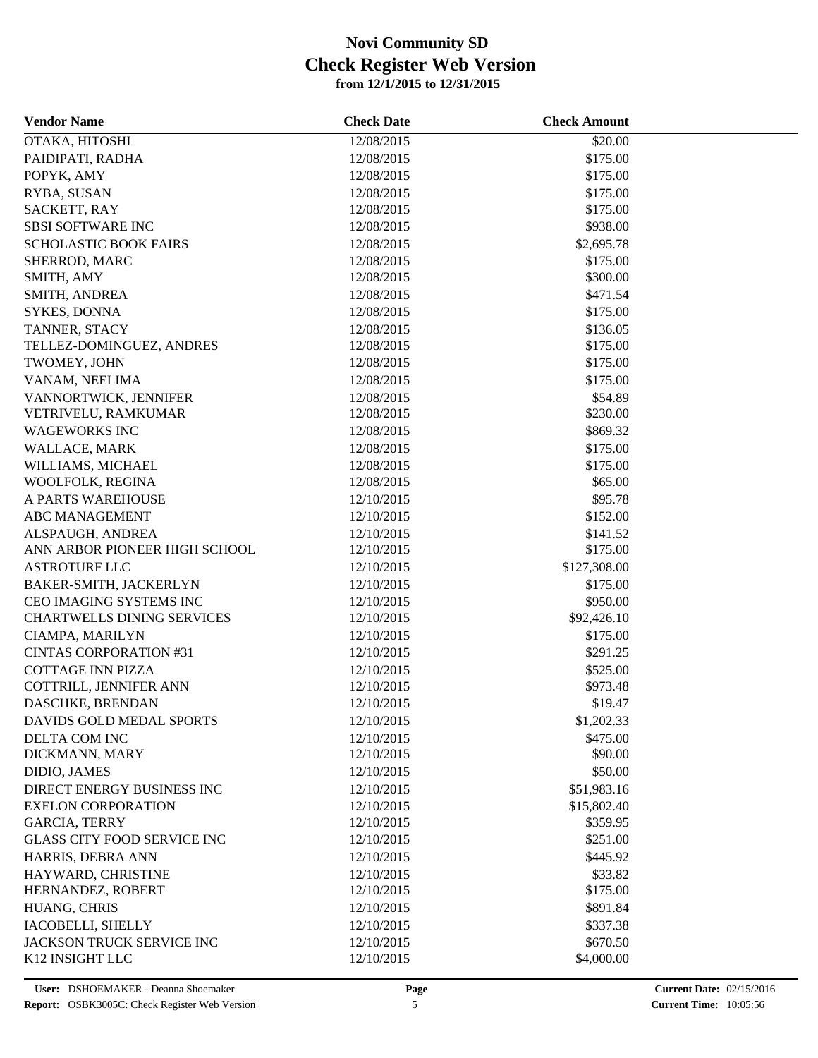| <b>Vendor Name</b>                 | <b>Check Date</b>        | <b>Check Amount</b> |  |
|------------------------------------|--------------------------|---------------------|--|
| OTAKA, HITOSHI                     | 12/08/2015               | \$20.00             |  |
| PAIDIPATI, RADHA                   | 12/08/2015               | \$175.00            |  |
| POPYK, AMY                         | 12/08/2015               | \$175.00            |  |
| RYBA, SUSAN                        | 12/08/2015               | \$175.00            |  |
| SACKETT, RAY                       | 12/08/2015               | \$175.00            |  |
| <b>SBSI SOFTWARE INC</b>           | 12/08/2015               | \$938.00            |  |
| <b>SCHOLASTIC BOOK FAIRS</b>       | 12/08/2015               | \$2,695.78          |  |
| SHERROD, MARC                      | 12/08/2015               | \$175.00            |  |
| SMITH, AMY                         | 12/08/2015               | \$300.00            |  |
| SMITH, ANDREA                      | 12/08/2015               | \$471.54            |  |
| SYKES, DONNA                       | 12/08/2015               | \$175.00            |  |
| TANNER, STACY                      | 12/08/2015               | \$136.05            |  |
| TELLEZ-DOMINGUEZ, ANDRES           | 12/08/2015               | \$175.00            |  |
| TWOMEY, JOHN                       | 12/08/2015               | \$175.00            |  |
| VANAM, NEELIMA                     | 12/08/2015               | \$175.00            |  |
| VANNORTWICK, JENNIFER              | 12/08/2015               | \$54.89             |  |
| VETRIVELU, RAMKUMAR                | 12/08/2015               | \$230.00            |  |
| <b>WAGEWORKS INC</b>               | 12/08/2015               | \$869.32            |  |
| WALLACE, MARK                      | 12/08/2015               | \$175.00            |  |
| WILLIAMS, MICHAEL                  | 12/08/2015               | \$175.00            |  |
| WOOLFOLK, REGINA                   | 12/08/2015               | \$65.00             |  |
| A PARTS WAREHOUSE                  | 12/10/2015               | \$95.78             |  |
| <b>ABC MANAGEMENT</b>              | 12/10/2015               | \$152.00            |  |
| ALSPAUGH, ANDREA                   | 12/10/2015               | \$141.52            |  |
| ANN ARBOR PIONEER HIGH SCHOOL      | 12/10/2015               | \$175.00            |  |
| <b>ASTROTURF LLC</b>               | 12/10/2015               | \$127,308.00        |  |
| BAKER-SMITH, JACKERLYN             | 12/10/2015               | \$175.00            |  |
| CEO IMAGING SYSTEMS INC            | 12/10/2015               | \$950.00            |  |
| <b>CHARTWELLS DINING SERVICES</b>  | 12/10/2015               | \$92,426.10         |  |
| CIAMPA, MARILYN                    | 12/10/2015               | \$175.00            |  |
|                                    |                          |                     |  |
| <b>CINTAS CORPORATION #31</b>      | 12/10/2015               | \$291.25            |  |
| <b>COTTAGE INN PIZZA</b>           | 12/10/2015<br>12/10/2015 | \$525.00            |  |
| COTTRILL, JENNIFER ANN             |                          | \$973.48            |  |
| DASCHKE, BRENDAN                   | 12/10/2015               | \$19.47             |  |
| DAVIDS GOLD MEDAL SPORTS           | 12/10/2015               | \$1,202.33          |  |
| DELTA COM INC                      | 12/10/2015               | \$475.00            |  |
| DICKMANN, MARY                     | 12/10/2015               | \$90.00             |  |
| DIDIO, JAMES                       | 12/10/2015               | \$50.00             |  |
| DIRECT ENERGY BUSINESS INC         | 12/10/2015               | \$51,983.16         |  |
| <b>EXELON CORPORATION</b>          | 12/10/2015               | \$15,802.40         |  |
| <b>GARCIA, TERRY</b>               | 12/10/2015               | \$359.95            |  |
| <b>GLASS CITY FOOD SERVICE INC</b> | 12/10/2015               | \$251.00            |  |
| HARRIS, DEBRA ANN                  | 12/10/2015               | \$445.92            |  |
| HAYWARD, CHRISTINE                 | 12/10/2015               | \$33.82             |  |
| HERNANDEZ, ROBERT                  | 12/10/2015               | \$175.00            |  |
| HUANG, CHRIS                       | 12/10/2015               | \$891.84            |  |
| IACOBELLI, SHELLY                  | 12/10/2015               | \$337.38            |  |
| JACKSON TRUCK SERVICE INC          | 12/10/2015               | \$670.50            |  |
| K12 INSIGHT LLC                    | 12/10/2015               | \$4,000.00          |  |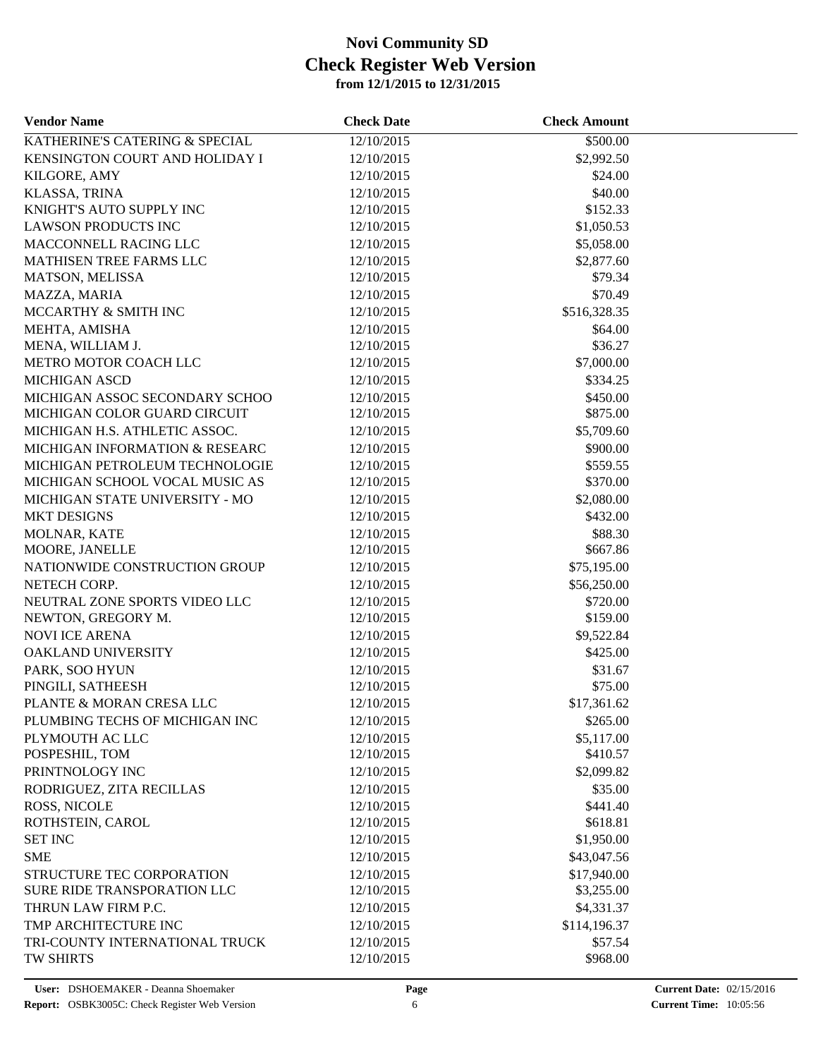| <b>Vendor Name</b>             | <b>Check Date</b> | <b>Check Amount</b> |  |
|--------------------------------|-------------------|---------------------|--|
| KATHERINE'S CATERING & SPECIAL | 12/10/2015        | \$500.00            |  |
| KENSINGTON COURT AND HOLIDAY I | 12/10/2015        | \$2,992.50          |  |
| KILGORE, AMY                   | 12/10/2015        | \$24.00             |  |
| KLASSA, TRINA                  | 12/10/2015        | \$40.00             |  |
| KNIGHT'S AUTO SUPPLY INC       | 12/10/2015        | \$152.33            |  |
| <b>LAWSON PRODUCTS INC</b>     | 12/10/2015        | \$1,050.53          |  |
| MACCONNELL RACING LLC          | 12/10/2015        | \$5,058.00          |  |
| MATHISEN TREE FARMS LLC        | 12/10/2015        | \$2,877.60          |  |
| MATSON, MELISSA                | 12/10/2015        | \$79.34             |  |
| MAZZA, MARIA                   | 12/10/2015        | \$70.49             |  |
| MCCARTHY & SMITH INC           | 12/10/2015        | \$516,328.35        |  |
| MEHTA, AMISHA                  | 12/10/2015        | \$64.00             |  |
| MENA, WILLIAM J.               | 12/10/2015        | \$36.27             |  |
| METRO MOTOR COACH LLC          | 12/10/2015        | \$7,000.00          |  |
| <b>MICHIGAN ASCD</b>           | 12/10/2015        | \$334.25            |  |
| MICHIGAN ASSOC SECONDARY SCHOO | 12/10/2015        | \$450.00            |  |
| MICHIGAN COLOR GUARD CIRCUIT   | 12/10/2015        | \$875.00            |  |
| MICHIGAN H.S. ATHLETIC ASSOC.  | 12/10/2015        | \$5,709.60          |  |
| MICHIGAN INFORMATION & RESEARC | 12/10/2015        | \$900.00            |  |
| MICHIGAN PETROLEUM TECHNOLOGIE | 12/10/2015        | \$559.55            |  |
| MICHIGAN SCHOOL VOCAL MUSIC AS | 12/10/2015        | \$370.00            |  |
| MICHIGAN STATE UNIVERSITY - MO | 12/10/2015        | \$2,080.00          |  |
| <b>MKT DESIGNS</b>             | 12/10/2015        | \$432.00            |  |
| MOLNAR, KATE                   | 12/10/2015        | \$88.30             |  |
| MOORE, JANELLE                 | 12/10/2015        | \$667.86            |  |
| NATIONWIDE CONSTRUCTION GROUP  | 12/10/2015        | \$75,195.00         |  |
| NETECH CORP.                   | 12/10/2015        | \$56,250.00         |  |
| NEUTRAL ZONE SPORTS VIDEO LLC  | 12/10/2015        | \$720.00            |  |
| NEWTON, GREGORY M.             | 12/10/2015        | \$159.00            |  |
| <b>NOVI ICE ARENA</b>          | 12/10/2015        | \$9,522.84          |  |
| OAKLAND UNIVERSITY             | 12/10/2015        | \$425.00            |  |
| PARK, SOO HYUN                 | 12/10/2015        | \$31.67             |  |
| PINGILI, SATHEESH              | 12/10/2015        | \$75.00             |  |
| PLANTE & MORAN CRESA LLC       | 12/10/2015        | \$17,361.62         |  |
| PLUMBING TECHS OF MICHIGAN INC | 12/10/2015        | \$265.00            |  |
| PLYMOUTH AC LLC                | 12/10/2015        | \$5,117.00          |  |
| POSPESHIL, TOM                 | 12/10/2015        | \$410.57            |  |
| PRINTNOLOGY INC                | 12/10/2015        | \$2,099.82          |  |
| RODRIGUEZ, ZITA RECILLAS       | 12/10/2015        | \$35.00             |  |
| ROSS, NICOLE                   | 12/10/2015        | \$441.40            |  |
| ROTHSTEIN, CAROL               | 12/10/2015        | \$618.81            |  |
| <b>SET INC</b>                 | 12/10/2015        | \$1,950.00          |  |
| <b>SME</b>                     | 12/10/2015        | \$43,047.56         |  |
| STRUCTURE TEC CORPORATION      | 12/10/2015        | \$17,940.00         |  |
| SURE RIDE TRANSPORATION LLC    | 12/10/2015        | \$3,255.00          |  |
| THRUN LAW FIRM P.C.            | 12/10/2015        | \$4,331.37          |  |
| TMP ARCHITECTURE INC           | 12/10/2015        | \$114,196.37        |  |
| TRI-COUNTY INTERNATIONAL TRUCK | 12/10/2015        | \$57.54             |  |
| TW SHIRTS                      | 12/10/2015        | \$968.00            |  |
|                                |                   |                     |  |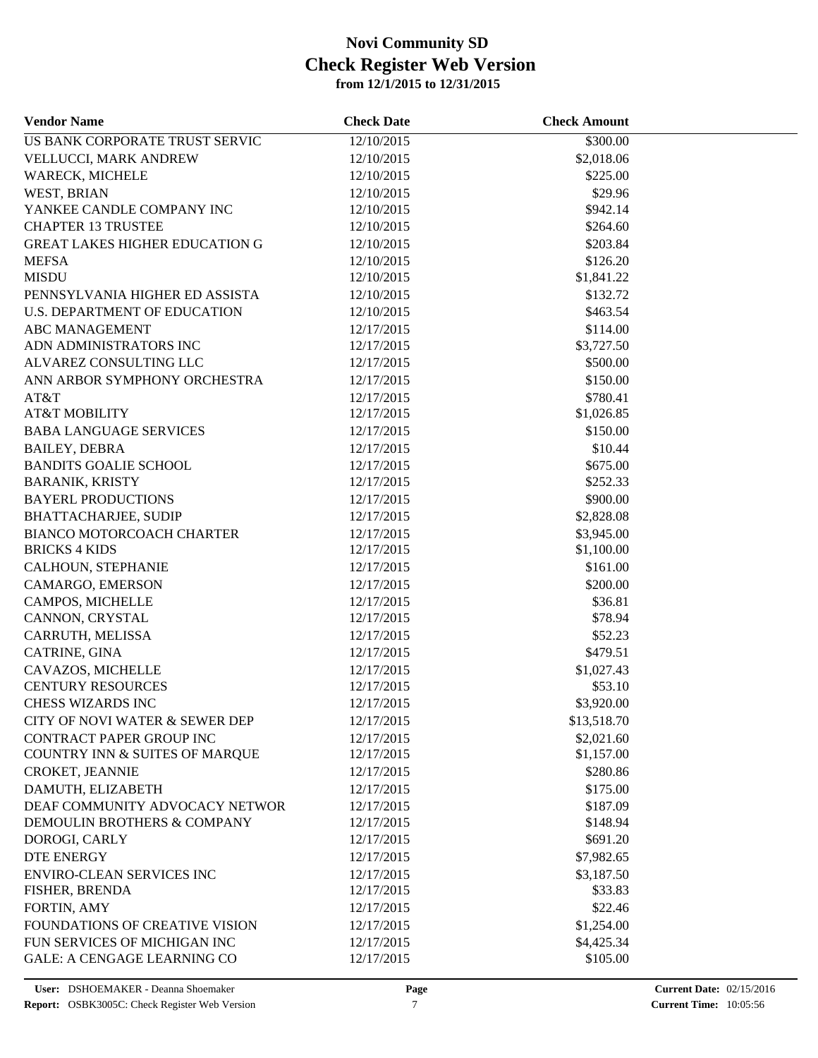| <b>Vendor Name</b>                    | <b>Check Date</b> | <b>Check Amount</b> |  |
|---------------------------------------|-------------------|---------------------|--|
| US BANK CORPORATE TRUST SERVIC        | 12/10/2015        | \$300.00            |  |
| VELLUCCI, MARK ANDREW                 | 12/10/2015        | \$2,018.06          |  |
| <b>WARECK, MICHELE</b>                | 12/10/2015        | \$225.00            |  |
| WEST, BRIAN                           | 12/10/2015        | \$29.96             |  |
| YANKEE CANDLE COMPANY INC             | 12/10/2015        | \$942.14            |  |
| <b>CHAPTER 13 TRUSTEE</b>             | 12/10/2015        | \$264.60            |  |
| <b>GREAT LAKES HIGHER EDUCATION G</b> | 12/10/2015        | \$203.84            |  |
| <b>MEFSA</b>                          | 12/10/2015        | \$126.20            |  |
| <b>MISDU</b>                          | 12/10/2015        | \$1,841.22          |  |
| PENNSYLVANIA HIGHER ED ASSISTA        | 12/10/2015        | \$132.72            |  |
| <b>U.S. DEPARTMENT OF EDUCATION</b>   | 12/10/2015        | \$463.54            |  |
| <b>ABC MANAGEMENT</b>                 | 12/17/2015        | \$114.00            |  |
| ADN ADMINISTRATORS INC                | 12/17/2015        | \$3,727.50          |  |
| ALVAREZ CONSULTING LLC                | 12/17/2015        | \$500.00            |  |
| ANN ARBOR SYMPHONY ORCHESTRA          | 12/17/2015        | \$150.00            |  |
| AT&T                                  | 12/17/2015        | \$780.41            |  |
| <b>AT&amp;T MOBILITY</b>              | 12/17/2015        | \$1,026.85          |  |
| <b>BABA LANGUAGE SERVICES</b>         | 12/17/2015        | \$150.00            |  |
| <b>BAILEY, DEBRA</b>                  | 12/17/2015        | \$10.44             |  |
| <b>BANDITS GOALIE SCHOOL</b>          | 12/17/2015        | \$675.00            |  |
| <b>BARANIK, KRISTY</b>                | 12/17/2015        | \$252.33            |  |
| <b>BAYERL PRODUCTIONS</b>             | 12/17/2015        | \$900.00            |  |
| <b>BHATTACHARJEE, SUDIP</b>           | 12/17/2015        | \$2,828.08          |  |
| BIANCO MOTORCOACH CHARTER             | 12/17/2015        | \$3,945.00          |  |
| <b>BRICKS 4 KIDS</b>                  | 12/17/2015        | \$1,100.00          |  |
| CALHOUN, STEPHANIE                    | 12/17/2015        | \$161.00            |  |
| CAMARGO, EMERSON                      | 12/17/2015        | \$200.00            |  |
| CAMPOS, MICHELLE                      | 12/17/2015        | \$36.81             |  |
| CANNON, CRYSTAL                       | 12/17/2015        | \$78.94             |  |
| CARRUTH, MELISSA                      | 12/17/2015        | \$52.23             |  |
| CATRINE, GINA                         | 12/17/2015        | \$479.51            |  |
| CAVAZOS, MICHELLE                     | 12/17/2015        | \$1,027.43          |  |
| <b>CENTURY RESOURCES</b>              | 12/17/2015        | \$53.10             |  |
| CHESS WIZARDS INC                     | 12/17/2015        | \$3,920.00          |  |
| CITY OF NOVI WATER & SEWER DEP        | 12/17/2015        | \$13,518.70         |  |
| <b>CONTRACT PAPER GROUP INC</b>       | 12/17/2015        | \$2,021.60          |  |
| COUNTRY INN & SUITES OF MARQUE        | 12/17/2015        | \$1,157.00          |  |
| CROKET, JEANNIE                       | 12/17/2015        | \$280.86            |  |
| DAMUTH, ELIZABETH                     | 12/17/2015        | \$175.00            |  |
| DEAF COMMUNITY ADVOCACY NETWOR        | 12/17/2015        | \$187.09            |  |
| DEMOULIN BROTHERS & COMPANY           | 12/17/2015        | \$148.94            |  |
| DOROGI, CARLY                         | 12/17/2015        | \$691.20            |  |
| <b>DTE ENERGY</b>                     | 12/17/2015        | \$7,982.65          |  |
| ENVIRO-CLEAN SERVICES INC             | 12/17/2015        | \$3,187.50          |  |
| FISHER, BRENDA                        | 12/17/2015        | \$33.83             |  |
| FORTIN, AMY                           | 12/17/2015        | \$22.46             |  |
| <b>FOUNDATIONS OF CREATIVE VISION</b> | 12/17/2015        | \$1,254.00          |  |
| FUN SERVICES OF MICHIGAN INC          | 12/17/2015        | \$4,425.34          |  |
| <b>GALE: A CENGAGE LEARNING CO</b>    | 12/17/2015        | \$105.00            |  |
|                                       |                   |                     |  |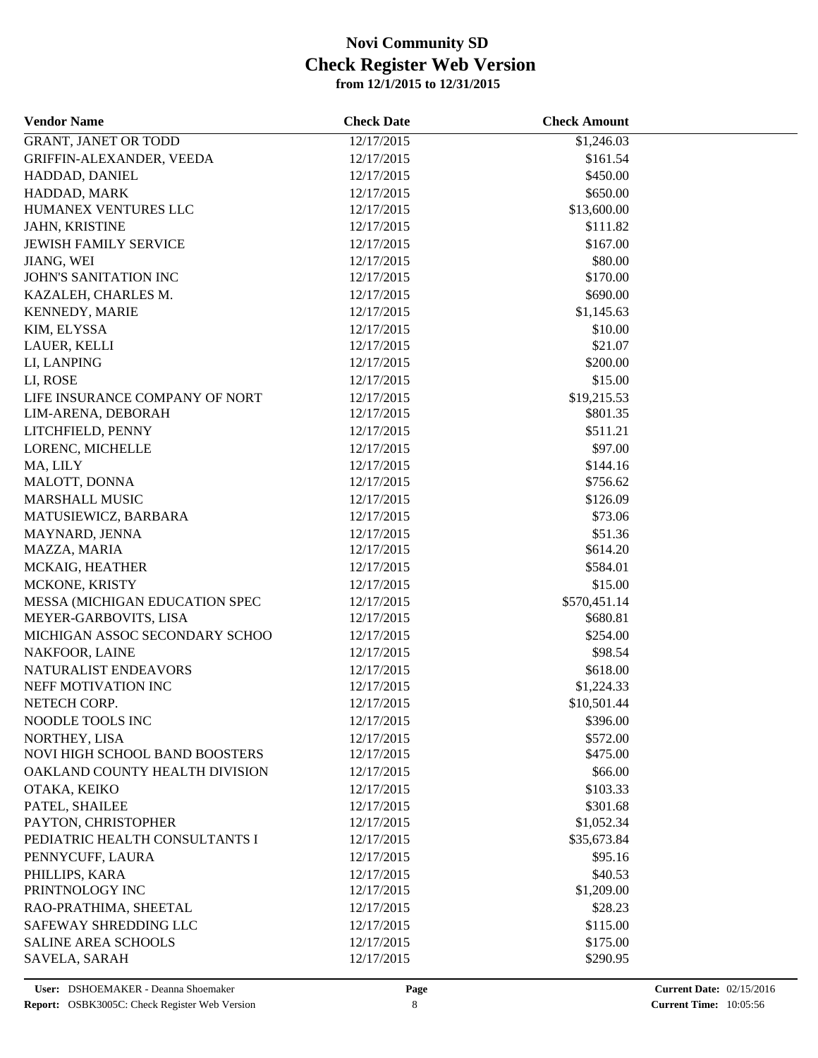| <b>Vendor Name</b>             | <b>Check Date</b> | <b>Check Amount</b>      |  |
|--------------------------------|-------------------|--------------------------|--|
| <b>GRANT, JANET OR TODD</b>    | 12/17/2015        | \$1,246.03               |  |
| GRIFFIN-ALEXANDER, VEEDA       | 12/17/2015        | \$161.54                 |  |
| HADDAD, DANIEL                 | 12/17/2015        | \$450.00                 |  |
| HADDAD, MARK                   | 12/17/2015        | \$650.00                 |  |
| HUMANEX VENTURES LLC           | 12/17/2015        | \$13,600.00              |  |
| JAHN, KRISTINE                 | 12/17/2015        | \$111.82                 |  |
| <b>JEWISH FAMILY SERVICE</b>   | 12/17/2015        | \$167.00                 |  |
| JIANG, WEI                     | 12/17/2015        | \$80.00                  |  |
| JOHN'S SANITATION INC          | 12/17/2015        | \$170.00                 |  |
| KAZALEH, CHARLES M.            | 12/17/2015        | \$690.00                 |  |
| KENNEDY, MARIE                 | 12/17/2015        | \$1,145.63               |  |
| KIM, ELYSSA                    | 12/17/2015        | \$10.00                  |  |
| LAUER, KELLI                   | 12/17/2015        | \$21.07                  |  |
| LI, LANPING                    | 12/17/2015        | \$200.00                 |  |
| LI, ROSE                       | 12/17/2015        | \$15.00                  |  |
| LIFE INSURANCE COMPANY OF NORT | 12/17/2015        | \$19,215.53              |  |
| LIM-ARENA, DEBORAH             | 12/17/2015        | \$801.35                 |  |
| LITCHFIELD, PENNY              | 12/17/2015        | \$511.21                 |  |
| LORENC, MICHELLE               | 12/17/2015        | \$97.00                  |  |
| MA, LILY                       | 12/17/2015        | \$144.16                 |  |
| MALOTT, DONNA                  | 12/17/2015        | \$756.62                 |  |
| <b>MARSHALL MUSIC</b>          | 12/17/2015        | \$126.09                 |  |
| MATUSIEWICZ, BARBARA           | 12/17/2015        | \$73.06                  |  |
| MAYNARD, JENNA                 | 12/17/2015        | \$51.36                  |  |
| MAZZA, MARIA                   | 12/17/2015        | \$614.20                 |  |
| MCKAIG, HEATHER                | 12/17/2015        | \$584.01                 |  |
| MCKONE, KRISTY                 | 12/17/2015        | \$15.00                  |  |
|                                |                   |                          |  |
| MESSA (MICHIGAN EDUCATION SPEC | 12/17/2015        | \$570,451.14<br>\$680.81 |  |
| MEYER-GARBOVITS, LISA          | 12/17/2015        | \$254.00                 |  |
| MICHIGAN ASSOC SECONDARY SCHOO | 12/17/2015        |                          |  |
| NAKFOOR, LAINE                 | 12/17/2015        | \$98.54                  |  |
| NATURALIST ENDEAVORS           | 12/17/2015        | \$618.00                 |  |
| NEFF MOTIVATION INC            | 12/17/2015        | \$1,224.33               |  |
| NETECH CORP.                   | 12/17/2015        | \$10,501.44              |  |
| NOODLE TOOLS INC               | 12/17/2015        | \$396.00                 |  |
| NORTHEY, LISA                  | 12/17/2015        | \$572.00                 |  |
| NOVI HIGH SCHOOL BAND BOOSTERS | 12/17/2015        | \$475.00                 |  |
| OAKLAND COUNTY HEALTH DIVISION | 12/17/2015        | \$66.00                  |  |
| OTAKA, KEIKO                   | 12/17/2015        | \$103.33                 |  |
| PATEL, SHAILEE                 | 12/17/2015        | \$301.68                 |  |
| PAYTON, CHRISTOPHER            | 12/17/2015        | \$1,052.34               |  |
| PEDIATRIC HEALTH CONSULTANTS I | 12/17/2015        | \$35,673.84              |  |
| PENNYCUFF, LAURA               | 12/17/2015        | \$95.16                  |  |
| PHILLIPS, KARA                 | 12/17/2015        | \$40.53                  |  |
| PRINTNOLOGY INC                | 12/17/2015        | \$1,209.00               |  |
| RAO-PRATHIMA, SHEETAL          | 12/17/2015        | \$28.23                  |  |
| SAFEWAY SHREDDING LLC          | 12/17/2015        | \$115.00                 |  |
| <b>SALINE AREA SCHOOLS</b>     | 12/17/2015        | \$175.00                 |  |
| SAVELA, SARAH                  | 12/17/2015        | \$290.95                 |  |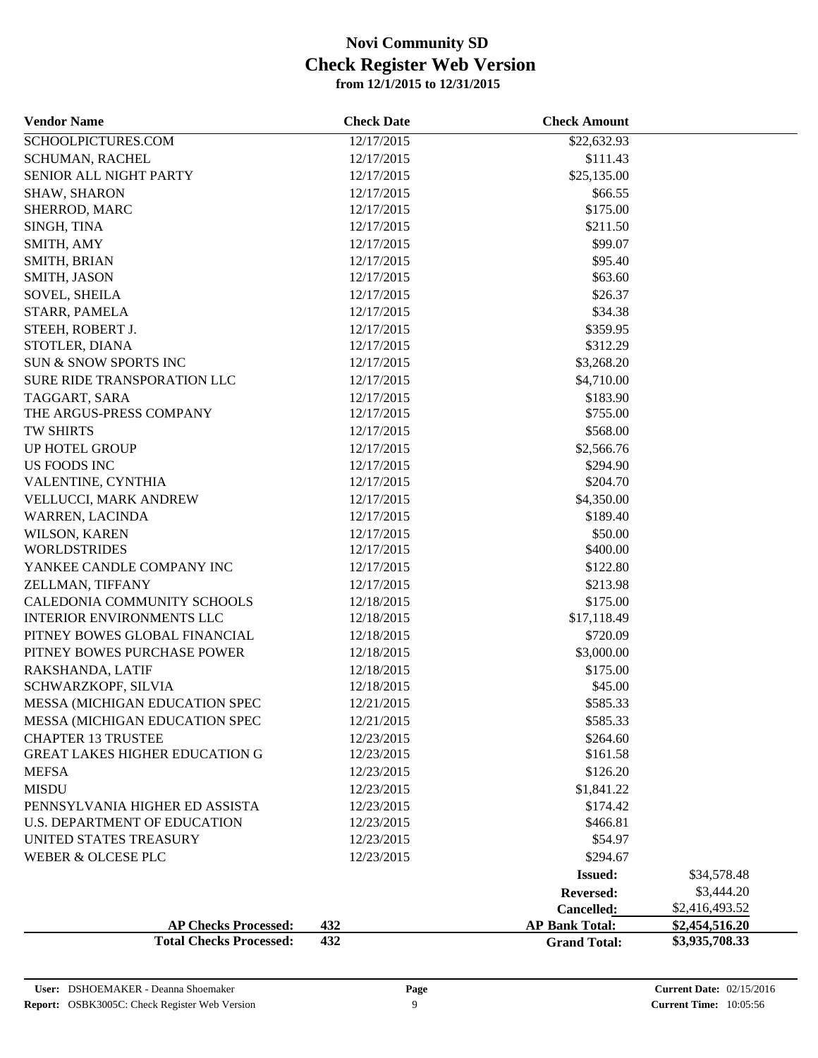| <b>Vendor Name</b>                    | <b>Check Date</b> | <b>Check Amount</b>   |                |
|---------------------------------------|-------------------|-----------------------|----------------|
| SCHOOLPICTURES.COM                    | 12/17/2015        | \$22,632.93           |                |
| SCHUMAN, RACHEL                       | 12/17/2015        | \$111.43              |                |
| SENIOR ALL NIGHT PARTY                | 12/17/2015        | \$25,135.00           |                |
| <b>SHAW, SHARON</b>                   | 12/17/2015        | \$66.55               |                |
| SHERROD, MARC                         | 12/17/2015        | \$175.00              |                |
| SINGH, TINA                           | 12/17/2015        | \$211.50              |                |
| SMITH, AMY                            | 12/17/2015        | \$99.07               |                |
| SMITH, BRIAN                          | 12/17/2015        | \$95.40               |                |
| SMITH, JASON                          | 12/17/2015        | \$63.60               |                |
| <b>SOVEL, SHEILA</b>                  | 12/17/2015        | \$26.37               |                |
| STARR, PAMELA                         | 12/17/2015        | \$34.38               |                |
| STEEH, ROBERT J.                      | 12/17/2015        | \$359.95              |                |
| STOTLER, DIANA                        | 12/17/2015        | \$312.29              |                |
| SUN & SNOW SPORTS INC                 | 12/17/2015        | \$3,268.20            |                |
| SURE RIDE TRANSPORATION LLC           | 12/17/2015        | \$4,710.00            |                |
| TAGGART, SARA                         | 12/17/2015        | \$183.90              |                |
| THE ARGUS-PRESS COMPANY               | 12/17/2015        | \$755.00              |                |
| TW SHIRTS                             | 12/17/2015        | \$568.00              |                |
| UP HOTEL GROUP                        | 12/17/2015        | \$2,566.76            |                |
| <b>US FOODS INC</b>                   | 12/17/2015        | \$294.90              |                |
| VALENTINE, CYNTHIA                    | 12/17/2015        | \$204.70              |                |
| VELLUCCI, MARK ANDREW                 | 12/17/2015        | \$4,350.00            |                |
| <b>WARREN, LACINDA</b>                | 12/17/2015        | \$189.40              |                |
| WILSON, KAREN                         | 12/17/2015        | \$50.00               |                |
| <b>WORLDSTRIDES</b>                   | 12/17/2015        | \$400.00              |                |
| YANKEE CANDLE COMPANY INC             | 12/17/2015        | \$122.80              |                |
| ZELLMAN, TIFFANY                      | 12/17/2015        | \$213.98              |                |
| CALEDONIA COMMUNITY SCHOOLS           | 12/18/2015        | \$175.00              |                |
| <b>INTERIOR ENVIRONMENTS LLC</b>      | 12/18/2015        | \$17,118.49           |                |
| PITNEY BOWES GLOBAL FINANCIAL         | 12/18/2015        | \$720.09              |                |
| PITNEY BOWES PURCHASE POWER           | 12/18/2015        | \$3,000.00            |                |
| RAKSHANDA, LATIF                      | 12/18/2015        | \$175.00              |                |
| SCHWARZKOPF, SILVIA                   | 12/18/2015        | \$45.00               |                |
| MESSA (MICHIGAN EDUCATION SPEC        | 12/21/2015        | \$585.33              |                |
| MESSA (MICHIGAN EDUCATION SPEC        | 12/21/2015        | \$585.33              |                |
| <b>CHAPTER 13 TRUSTEE</b>             | 12/23/2015        | \$264.60              |                |
| <b>GREAT LAKES HIGHER EDUCATION G</b> | 12/23/2015        | \$161.58              |                |
| <b>MEFSA</b>                          | 12/23/2015        | \$126.20              |                |
| <b>MISDU</b>                          | 12/23/2015        | \$1,841.22            |                |
| PENNSYLVANIA HIGHER ED ASSISTA        | 12/23/2015        | \$174.42              |                |
| U.S. DEPARTMENT OF EDUCATION          | 12/23/2015        | \$466.81              |                |
| UNITED STATES TREASURY                | 12/23/2015        | \$54.97               |                |
| WEBER & OLCESE PLC                    | 12/23/2015        | \$294.67              |                |
|                                       |                   | <b>Issued:</b>        | \$34,578.48    |
|                                       |                   | Reversed:             | \$3,444.20     |
|                                       |                   | Cancelled:            | \$2,416,493.52 |
| <b>AP Checks Processed:</b>           | 432               | <b>AP Bank Total:</b> | \$2,454,516.20 |
| <b>Total Checks Processed:</b>        | 432               | <b>Grand Total:</b>   | \$3,935,708.33 |